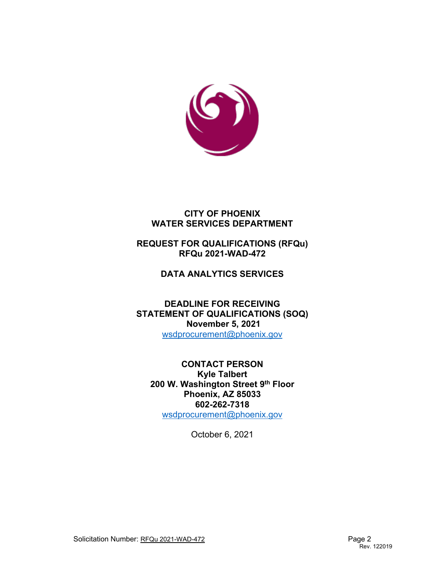

# **CITY OF PHOENIX WATER SERVICES DEPARTMENT**

# **REQUEST FOR QUALIFICATIONS (RFQu) RFQu 2021-WAD-472**

# **DATA ANALYTICS SERVICES**

**DEADLINE FOR RECEIVING STATEMENT OF QUALIFICATIONS (SOQ) November 5, 2021** [wsdprocurement@phoenix.gov](mailto:wsdprocurement@phoenix.gov)

**CONTACT PERSON Kyle Talbert 200 W. Washington Street 9th Floor Phoenix, AZ 85033 602-262-7318** [wsdprocurement@phoenix.gov](mailto:wsdprocurement@phoenix.gov)

October 6, 2021

Solicitation Number: RFQu 2021-WAD-472 Page 2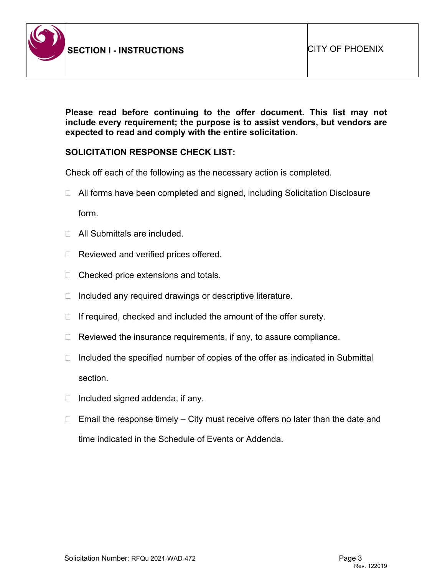

**Please read before continuing to the offer document. This list may not include every requirement; the purpose is to assist vendors, but vendors are expected to read and comply with the entire solicitation**.

### **SOLICITATION RESPONSE CHECK LIST:**

Check off each of the following as the necessary action is completed.

- □ All forms have been completed and signed, including Solicitation Disclosure form.
- □ All Submittals are included.
- $\Box$  Reviewed and verified prices offered.
- $\Box$  Checked price extensions and totals.
- $\Box$  Included any required drawings or descriptive literature.
- $\Box$  If required, checked and included the amount of the offer surety.
- $\Box$  Reviewed the insurance requirements, if any, to assure compliance.
- $\Box$  Included the specified number of copies of the offer as indicated in Submittal section.
- $\Box$  Included signed addenda, if any.
- $\Box$  Email the response timely City must receive offers no later than the date and time indicated in the Schedule of Events or Addenda.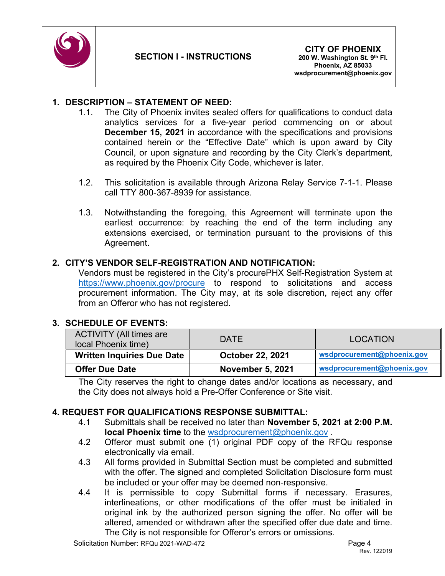

### **1. DESCRIPTION – STATEMENT OF NEED:**

- 1.1. The City of Phoenix invites sealed offers for qualifications to conduct data analytics services for a five-year period commencing on or about **December 15, 2021** in accordance with the specifications and provisions contained herein or the "Effective Date" which is upon award by City Council, or upon signature and recording by the City Clerk's department, as required by the Phoenix City Code, whichever is later.
- 1.2. This solicitation is available through Arizona Relay Service 7-1-1. Please call TTY 800-367-8939 for assistance.
- 1.3. Notwithstanding the foregoing, this Agreement will terminate upon the earliest occurrence: by reaching the end of the term including any extensions exercised, or termination pursuant to the provisions of this Agreement.

### **2. CITY'S VENDOR SELF-REGISTRATION AND NOTIFICATION:**

Vendors must be registered in the City's procurePHX Self-Registration System at <https://www.phoenix.gov/procure> to respond to solicitations and access procurement information. The City may, at its sole discretion, reject any offer from an Offeror who has not registered.

### **3. SCHEDULE OF EVENTS:**

| <b>ACTIVITY (All times are</b><br>local Phoenix time) | <b>DATE</b>             | <b>LOCATION</b>            |
|-------------------------------------------------------|-------------------------|----------------------------|
| <b>Written Inquiries Due Date</b>                     | <b>October 22, 2021</b> | wsdprocurement@phoenix.gov |
| <b>Offer Due Date</b>                                 | <b>November 5, 2021</b> | wsdprocurement@phoenix.gov |

The City reserves the right to change dates and/or locations as necessary, and the City does not always hold a Pre-Offer Conference or Site visit.

# **4. REQUEST FOR QUALIFICATIONS RESPONSE SUBMITTAL:**

- 4.1 Submittals shall be received no later than **November 5, 2021 at 2:00 P.M. local Phoenix time** to the [wsdprocurement@phoenix.gov](mailto:wsdprocurement@phoenix.gov) .
- 4.2 Offeror must submit one (1) original PDF copy of the RFQu response electronically via email.
- 4.3 All forms provided in Submittal Section must be completed and submitted with the offer. The signed and completed Solicitation Disclosure form must be included or your offer may be deemed non-responsive.
- 4.4 It is permissible to copy Submittal forms if necessary. Erasures, interlineations, or other modifications of the offer must be initialed in original ink by the authorized person signing the offer. No offer will be altered, amended or withdrawn after the specified offer due date and time. The City is not responsible for Offeror's errors or omissions.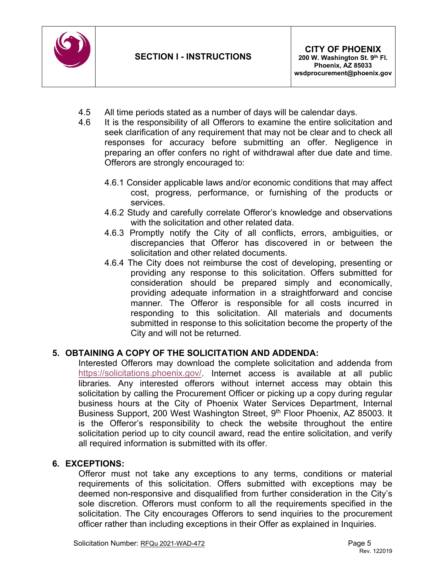

- 4.5 All time periods stated as a number of days will be calendar days.
- 4.6 It is the responsibility of all Offerors to examine the entire solicitation and seek clarification of any requirement that may not be clear and to check all responses for accuracy before submitting an offer. Negligence in preparing an offer confers no right of withdrawal after due date and time. Offerors are strongly encouraged to:
	- 4.6.1 Consider applicable laws and/or economic conditions that may affect cost, progress, performance, or furnishing of the products or services.
	- 4.6.2 Study and carefully correlate Offeror's knowledge and observations with the solicitation and other related data.
	- 4.6.3 Promptly notify the City of all conflicts, errors, ambiguities, or discrepancies that Offeror has discovered in or between the solicitation and other related documents.
	- 4.6.4 The City does not reimburse the cost of developing, presenting or providing any response to this solicitation. Offers submitted for consideration should be prepared simply and economically, providing adequate information in a straightforward and concise manner. The Offeror is responsible for all costs incurred in responding to this solicitation. All materials and documents submitted in response to this solicitation become the property of the City and will not be returned.

# **5. OBTAINING A COPY OF THE SOLICITATION AND ADDENDA:**

Interested Offerors may download the complete solicitation and addenda from [https://solicitations.phoenix.gov/.](https://solicitations.phoenix.gov/) Internet access is available at all public libraries. Any interested offerors without internet access may obtain this solicitation by calling the Procurement Officer or picking up a copy during regular business hours at the City of Phoenix Water Services Department, Internal Business Support, 200 West Washington Street, 9<sup>th</sup> Floor Phoenix, AZ 85003. It is the Offeror's responsibility to check the website throughout the entire solicitation period up to city council award, read the entire solicitation, and verify all required information is submitted with its offer.

# **6. EXCEPTIONS:**

Offeror must not take any exceptions to any terms, conditions or material requirements of this solicitation. Offers submitted with exceptions may be deemed non-responsive and disqualified from further consideration in the City's sole discretion. Offerors must conform to all the requirements specified in the solicitation. The City encourages Offerors to send inquiries to the procurement officer rather than including exceptions in their Offer as explained in Inquiries.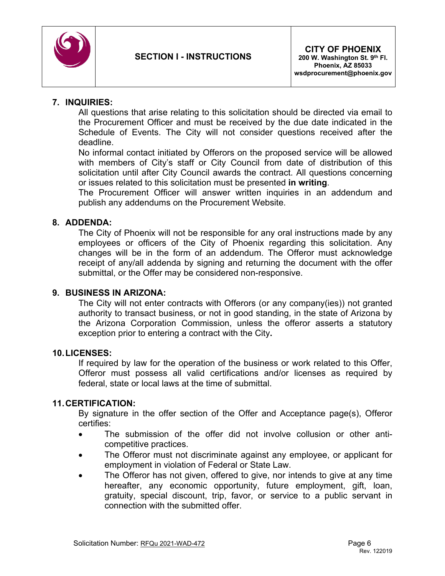

### **7. INQUIRIES:**

All questions that arise relating to this solicitation should be directed via email to the Procurement Officer and must be received by the due date indicated in the Schedule of Events. The City will not consider questions received after the deadline.

No informal contact initiated by Offerors on the proposed service will be allowed with members of City's staff or City Council from date of distribution of this solicitation until after City Council awards the contract. All questions concerning or issues related to this solicitation must be presented **in writing**.

The Procurement Officer will answer written inquiries in an addendum and publish any addendums on the Procurement Website.

### **8. ADDENDA:**

The City of Phoenix will not be responsible for any oral instructions made by any employees or officers of the City of Phoenix regarding this solicitation. Any changes will be in the form of an addendum. The Offeror must acknowledge receipt of any/all addenda by signing and returning the document with the offer submittal, or the Offer may be considered non-responsive.

### **9. BUSINESS IN ARIZONA:**

The City will not enter contracts with Offerors (or any company(ies)) not granted authority to transact business, or not in good standing, in the state of Arizona by the Arizona Corporation Commission, unless the offeror asserts a statutory exception prior to entering a contract with the City**.**

### **10.LICENSES:**

If required by law for the operation of the business or work related to this Offer, Offeror must possess all valid certifications and/or licenses as required by federal, state or local laws at the time of submittal.

### **11.CERTIFICATION:**

By signature in the offer section of the Offer and Acceptance page(s), Offeror certifies:

- The submission of the offer did not involve collusion or other anticompetitive practices.
- The Offeror must not discriminate against any employee, or applicant for employment in violation of Federal or State Law.
- The Offeror has not given, offered to give, nor intends to give at any time hereafter, any economic opportunity, future employment, gift, loan, gratuity, special discount, trip, favor, or service to a public servant in connection with the submitted offer.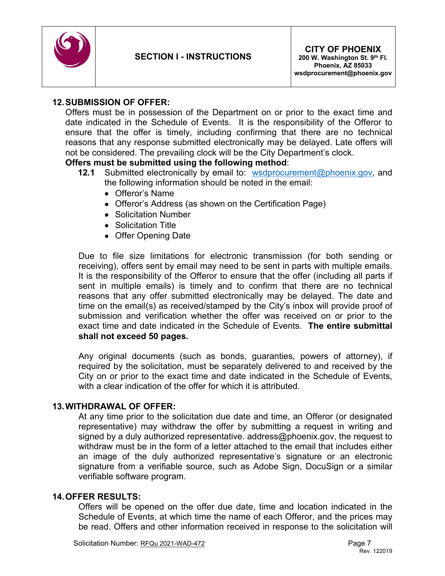

### **12.SUBMISSION OF OFFER:**

Offers must be in possession of the Department on or prior to the exact time and date indicated in the Schedule of Events. It is the responsibility of the Offeror to ensure that the offer is timely, including confirming that there are no technical reasons that any response submitted electronically may be delayed. Late offers will not be considered. The prevailing clock will be the City Department's clock.

#### **Offers must be submitted using the following method**:

- **12.1** Submitted electronically by email to: [wsdprocurement@phoenix.gov,](mailto:wsdprocurement@phoenix.gov) and the following information should be noted in the email:
	- Offeror's Name
	- Offeror's Address (as shown on the Certification Page)
	- Solicitation Number
	- Solicitation Title
	- Offer Opening Date

Due to file size limitations for electronic transmission (for both sending or receiving), offers sent by email may need to be sent in parts with multiple emails. It is the responsibility of the Offeror to ensure that the offer (including all parts if sent in multiple emails) is timely and to confirm that there are no technical reasons that any offer submitted electronically may be delayed. The date and time on the email(s) as received/stamped by the City's inbox will provide proof of submission and verification whether the offer was received on or prior to the exact time and date indicated in the Schedule of Events. **The entire submittal shall not exceed 50 pages.**

Any original documents (such as bonds, guaranties, powers of attorney), if required by the solicitation, must be separately delivered to and received by the City on or prior to the exact time and date indicated in the Schedule of Events, with a clear indication of the offer for which it is attributed.

#### **13.WITHDRAWAL OF OFFER:**

At any time prior to the solicitation due date and time, an Offeror (or designated representative) may withdraw the offer by submitting a request in writing and signed by a duly authorized representative. address@phoenix.gov, the request to withdraw must be in the form of a letter attached to the email that includes either an image of the duly authorized representative's signature or an electronic signature from a verifiable source, such as Adobe Sign, DocuSign or a similar verifiable software program.

#### **14.OFFER RESULTS:**

Offers will be opened on the offer due date, time and location indicated in the Schedule of Events, at which time the name of each Offeror, and the prices may be read. Offers and other information received in response to the solicitation will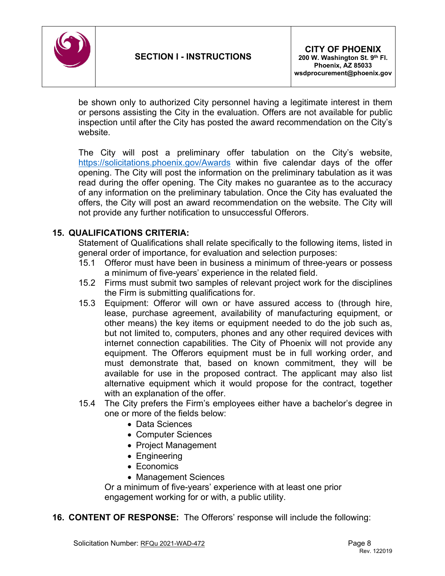

be shown only to authorized City personnel having a legitimate interest in them or persons assisting the City in the evaluation. Offers are not available for public inspection until after the City has posted the award recommendation on the City's website.

The City will post a preliminary offer tabulation on the City's website, <https://solicitations.phoenix.gov/Awards> within five calendar days of the offer opening. The City will post the information on the preliminary tabulation as it was read during the offer opening. The City makes no guarantee as to the accuracy of any information on the preliminary tabulation. Once the City has evaluated the offers, the City will post an award recommendation on the website. The City will not provide any further notification to unsuccessful Offerors.

# **15. QUALIFICATIONS CRITERIA:**

Statement of Qualifications shall relate specifically to the following items, listed in general order of importance, for evaluation and selection purposes:

- 15.1 Offeror must have been in business a minimum of three-years or possess a minimum of five-years' experience in the related field.
- 15.2 Firms must submit two samples of relevant project work for the disciplines the Firm is submitting qualifications for.
- 15.3 Equipment: Offeror will own or have assured access to (through hire, lease, purchase agreement, availability of manufacturing equipment, or other means) the key items or equipment needed to do the job such as, but not limited to, computers, phones and any other required devices with internet connection capabilities. The City of Phoenix will not provide any equipment. The Offerors equipment must be in full working order, and must demonstrate that, based on known commitment, they will be available for use in the proposed contract. The applicant may also list alternative equipment which it would propose for the contract, together with an explanation of the offer.
- 15.4 The City prefers the Firm's employees either have a bachelor's degree in one or more of the fields below:
	- Data Sciences
	- Computer Sciences
	- Project Management
	- Engineering
	- Economics
	- Management Sciences

Or a minimum of five-years' experience with at least one prior engagement working for or with, a public utility.

**16. CONTENT OF RESPONSE:** The Offerors' response will include the following: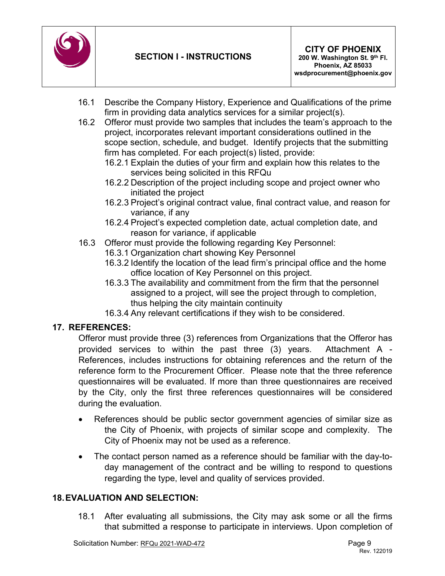

- 16.1 Describe the Company History, Experience and Qualifications of the prime firm in providing data analytics services for a similar project(s).
- 16.2 Offeror must provide two samples that includes the team's approach to the project, incorporates relevant important considerations outlined in the scope section, schedule, and budget. Identify projects that the submitting firm has completed. For each project(s) listed, provide:
	- 16.2.1 Explain the duties of your firm and explain how this relates to the services being solicited in this RFQu
	- 16.2.2 Description of the project including scope and project owner who initiated the project
	- 16.2.3 Project's original contract value, final contract value, and reason for variance, if any
	- 16.2.4 Project's expected completion date, actual completion date, and reason for variance, if applicable
- 16.3 Offeror must provide the following regarding Key Personnel:
	- 16.3.1 Organization chart showing Key Personnel
	- 16.3.2 Identify the location of the lead firm's principal office and the home office location of Key Personnel on this project.
	- 16.3.3 The availability and commitment from the firm that the personnel assigned to a project, will see the project through to completion, thus helping the city maintain continuity
	- 16.3.4 Any relevant certifications if they wish to be considered.

# **17. REFERENCES:**

Offeror must provide three (3) references from Organizations that the Offeror has provided services to within the past three (3) years. Attachment A - References, includes instructions for obtaining references and the return of the reference form to the Procurement Officer. Please note that the three reference questionnaires will be evaluated. If more than three questionnaires are received by the City, only the first three references questionnaires will be considered during the evaluation.

- References should be public sector government agencies of similar size as the City of Phoenix, with projects of similar scope and complexity. The City of Phoenix may not be used as a reference.
- The contact person named as a reference should be familiar with the day-today management of the contract and be willing to respond to questions regarding the type, level and quality of services provided.

# **18.EVALUATION AND SELECTION:**

18.1 After evaluating all submissions, the City may ask some or all the firms that submitted a response to participate in interviews. Upon completion of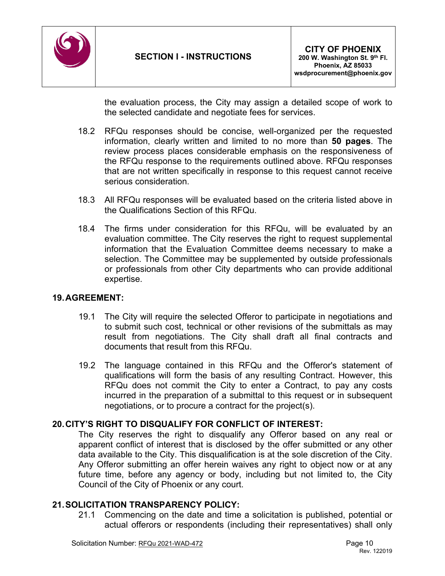

the evaluation process, the City may assign a detailed scope of work to the selected candidate and negotiate fees for services.

- 18.2 RFQu responses should be concise, well-organized per the requested information, clearly written and limited to no more than **50 pages**. The review process places considerable emphasis on the responsiveness of the RFQu response to the requirements outlined above. RFQu responses that are not written specifically in response to this request cannot receive serious consideration.
- 18.3 All RFQu responses will be evaluated based on the criteria listed above in the Qualifications Section of this RFQu.
- 18.4 The firms under consideration for this RFQu, will be evaluated by an evaluation committee. The City reserves the right to request supplemental information that the Evaluation Committee deems necessary to make a selection. The Committee may be supplemented by outside professionals or professionals from other City departments who can provide additional expertise.

# **19.AGREEMENT:**

- 19.1 The City will require the selected Offeror to participate in negotiations and to submit such cost, technical or other revisions of the submittals as may result from negotiations. The City shall draft all final contracts and documents that result from this RFQu.
- 19.2 The language contained in this RFQu and the Offeror's statement of qualifications will form the basis of any resulting Contract. However, this RFQu does not commit the City to enter a Contract, to pay any costs incurred in the preparation of a submittal to this request or in subsequent negotiations, or to procure a contract for the project(s).

# **20.CITY'S RIGHT TO DISQUALIFY FOR CONFLICT OF INTEREST:**

The City reserves the right to disqualify any Offeror based on any real or apparent conflict of interest that is disclosed by the offer submitted or any other data available to the City. This disqualification is at the sole discretion of the City. Any Offeror submitting an offer herein waives any right to object now or at any future time, before any agency or body, including but not limited to, the City Council of the City of Phoenix or any court.

### **21.SOLICITATION TRANSPARENCY POLICY:**

21.1 Commencing on the date and time a solicitation is published, potential or actual offerors or respondents (including their representatives) shall only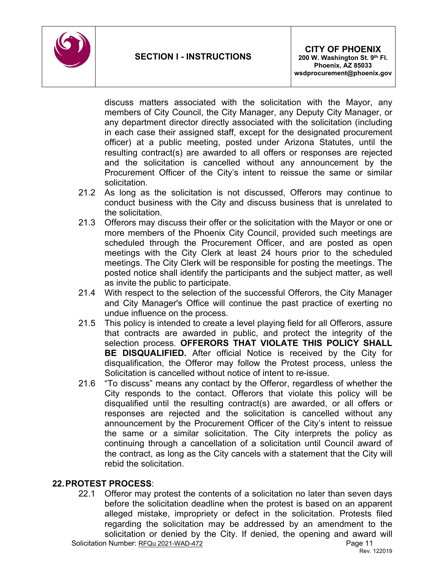

discuss matters associated with the solicitation with the Mayor, any members of City Council, the City Manager, any Deputy City Manager, or any department director directly associated with the solicitation (including in each case their assigned staff, except for the designated procurement officer) at a public meeting, posted under Arizona Statutes, until the resulting contract(s) are awarded to all offers or responses are rejected and the solicitation is cancelled without any announcement by the Procurement Officer of the City's intent to reissue the same or similar solicitation.

- 21.2 As long as the solicitation is not discussed, Offerors may continue to conduct business with the City and discuss business that is unrelated to the solicitation.
- 21.3 Offerors may discuss their offer or the solicitation with the Mayor or one or more members of the Phoenix City Council, provided such meetings are scheduled through the Procurement Officer, and are posted as open meetings with the City Clerk at least 24 hours prior to the scheduled meetings. The City Clerk will be responsible for posting the meetings. The posted notice shall identify the participants and the subject matter, as well as invite the public to participate.
- 21.4 With respect to the selection of the successful Offerors, the City Manager and City Manager's Office will continue the past practice of exerting no undue influence on the process.
- 21.5 This policy is intended to create a level playing field for all Offerors, assure that contracts are awarded in public, and protect the integrity of the selection process. **OFFERORS THAT VIOLATE THIS POLICY SHALL BE DISQUALIFIED.** After official Notice is received by the City for disqualification, the Offeror may follow the Protest process, unless the Solicitation is cancelled without notice of intent to re-issue.
- 21.6 "To discuss" means any contact by the Offeror, regardless of whether the City responds to the contact. Offerors that violate this policy will be disqualified until the resulting contract(s) are awarded, or all offers or responses are rejected and the solicitation is cancelled without any announcement by the Procurement Officer of the City's intent to reissue the same or a similar solicitation. The City interprets the policy as continuing through a cancellation of a solicitation until Council award of the contract, as long as the City cancels with a statement that the City will rebid the solicitation.

# **22.PROTEST PROCESS**:

Solicitation Number: RFQu 2021-WAD-472 Page 11 22.1 Offeror may protest the contents of a solicitation no later than seven days before the solicitation deadline when the protest is based on an apparent alleged mistake, impropriety or defect in the solicitation. Protests filed regarding the solicitation may be addressed by an amendment to the solicitation or denied by the City. If denied, the opening and award will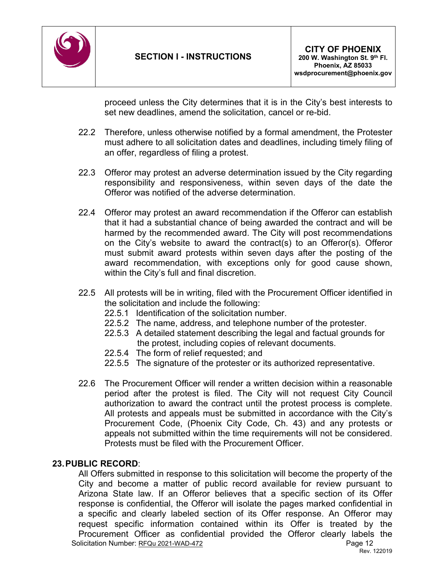

proceed unless the City determines that it is in the City's best interests to set new deadlines, amend the solicitation, cancel or re-bid.

- 22.2 Therefore, unless otherwise notified by a formal amendment, the Protester must adhere to all solicitation dates and deadlines, including timely filing of an offer, regardless of filing a protest.
- 22.3 Offeror may protest an adverse determination issued by the City regarding responsibility and responsiveness, within seven days of the date the Offeror was notified of the adverse determination.
- 22.4 Offeror may protest an award recommendation if the Offeror can establish that it had a substantial chance of being awarded the contract and will be harmed by the recommended award. The City will post recommendations on the City's website to award the contract(s) to an Offeror(s). Offeror must submit award protests within seven days after the posting of the award recommendation, with exceptions only for good cause shown, within the City's full and final discretion.
- 22.5 All protests will be in writing, filed with the Procurement Officer identified in the solicitation and include the following:
	- 22.5.1 Identification of the solicitation number.
	- 22.5.2 The name, address, and telephone number of the protester.
	- 22.5.3 A detailed statement describing the legal and factual grounds for the protest, including copies of relevant documents.
	- 22.5.4 The form of relief requested; and
	- 22.5.5 The signature of the protester or its authorized representative.
- 22.6 The Procurement Officer will render a written decision within a reasonable period after the protest is filed. The City will not request City Council authorization to award the contract until the protest process is complete. All protests and appeals must be submitted in accordance with the City's Procurement Code, (Phoenix City Code, Ch. 43) and any protests or appeals not submitted within the time requirements will not be considered. Protests must be filed with the Procurement Officer.

# **23.PUBLIC RECORD**:

Solicitation Number: RFQu 2021-WAD-472 Page 12 Rev. 122019 All Offers submitted in response to this solicitation will become the property of the City and become a matter of public record available for review pursuant to Arizona State law. If an Offeror believes that a specific section of its Offer response is confidential, the Offeror will isolate the pages marked confidential in a specific and clearly labeled section of its Offer response. An Offeror may request specific information contained within its Offer is treated by the Procurement Officer as confidential provided the Offeror clearly labels the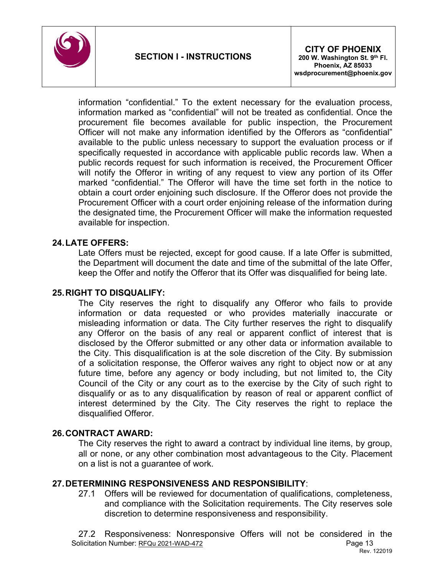

information "confidential." To the extent necessary for the evaluation process, information marked as "confidential" will not be treated as confidential. Once the procurement file becomes available for public inspection, the Procurement Officer will not make any information identified by the Offerors as "confidential" available to the public unless necessary to support the evaluation process or if specifically requested in accordance with applicable public records law. When a public records request for such information is received, the Procurement Officer will notify the Offeror in writing of any request to view any portion of its Offer marked "confidential." The Offeror will have the time set forth in the notice to obtain a court order enjoining such disclosure. If the Offeror does not provide the Procurement Officer with a court order enjoining release of the information during the designated time, the Procurement Officer will make the information requested available for inspection.

# **24.LATE OFFERS:**

Late Offers must be rejected, except for good cause. If a late Offer is submitted, the Department will document the date and time of the submittal of the late Offer, keep the Offer and notify the Offeror that its Offer was disqualified for being late.

### **25.RIGHT TO DISQUALIFY:**

The City reserves the right to disqualify any Offeror who fails to provide information or data requested or who provides materially inaccurate or misleading information or data. The City further reserves the right to disqualify any Offeror on the basis of any real or apparent conflict of interest that is disclosed by the Offeror submitted or any other data or information available to the City. This disqualification is at the sole discretion of the City. By submission of a solicitation response, the Offeror waives any right to object now or at any future time, before any agency or body including, but not limited to, the City Council of the City or any court as to the exercise by the City of such right to disqualify or as to any disqualification by reason of real or apparent conflict of interest determined by the City. The City reserves the right to replace the disqualified Offeror.

### **26.CONTRACT AWARD:**

The City reserves the right to award a contract by individual line items, by group, all or none, or any other combination most advantageous to the City. Placement on a list is not a guarantee of work.

### **27.DETERMINING RESPONSIVENESS AND RESPONSIBILITY**:

27.1 Offers will be reviewed for documentation of qualifications, completeness, and compliance with the Solicitation requirements. The City reserves sole discretion to determine responsiveness and responsibility.

Solicitation Number: RFQu 2021-WAD-472 Page 13 Rev. 122019 27.2 Responsiveness: Nonresponsive Offers will not be considered in the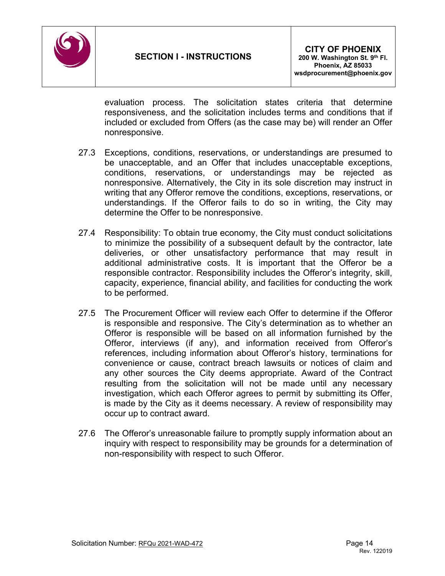

evaluation process. The solicitation states criteria that determine responsiveness, and the solicitation includes terms and conditions that if included or excluded from Offers (as the case may be) will render an Offer nonresponsive.

- 27.3 Exceptions, conditions, reservations, or understandings are presumed to be unacceptable, and an Offer that includes unacceptable exceptions, conditions, reservations, or understandings may be rejected as nonresponsive. Alternatively, the City in its sole discretion may instruct in writing that any Offeror remove the conditions, exceptions, reservations, or understandings. If the Offeror fails to do so in writing, the City may determine the Offer to be nonresponsive.
- 27.4 Responsibility: To obtain true economy, the City must conduct solicitations to minimize the possibility of a subsequent default by the contractor, late deliveries, or other unsatisfactory performance that may result in additional administrative costs. It is important that the Offeror be a responsible contractor. Responsibility includes the Offeror's integrity, skill, capacity, experience, financial ability, and facilities for conducting the work to be performed.
- 27.5 The Procurement Officer will review each Offer to determine if the Offeror is responsible and responsive. The City's determination as to whether an Offeror is responsible will be based on all information furnished by the Offeror, interviews (if any), and information received from Offeror's references, including information about Offeror's history, terminations for convenience or cause, contract breach lawsuits or notices of claim and any other sources the City deems appropriate. Award of the Contract resulting from the solicitation will not be made until any necessary investigation, which each Offeror agrees to permit by submitting its Offer, is made by the City as it deems necessary. A review of responsibility may occur up to contract award.
- 27.6 The Offeror's unreasonable failure to promptly supply information about an inquiry with respect to responsibility may be grounds for a determination of non-responsibility with respect to such Offeror.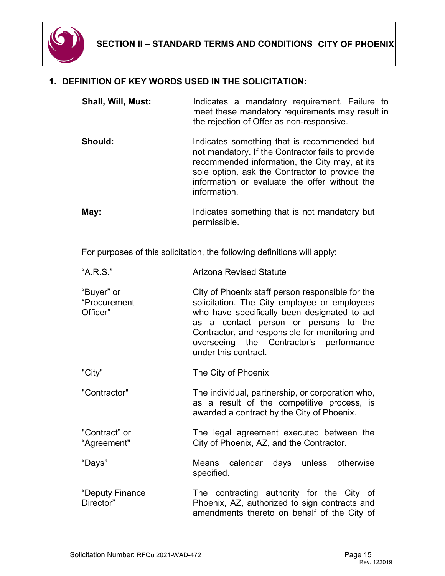

# **1. DEFINITION OF KEY WORDS USED IN THE SOLICITATION:**

| Shall, Will, Must: | Indicates a mandatory requirement. Failure to<br>meet these mandatory requirements may result in<br>the rejection of Offer as non-responsive.                                                                                                                        |
|--------------------|----------------------------------------------------------------------------------------------------------------------------------------------------------------------------------------------------------------------------------------------------------------------|
| <b>Should:</b>     | Indicates something that is recommended but<br>not mandatory. If the Contractor fails to provide<br>recommended information, the City may, at its<br>sole option, ask the Contractor to provide the<br>information or evaluate the offer without the<br>information. |
| May:               | Indicates something that is not mandatory but<br>permissible.                                                                                                                                                                                                        |

For purposes of this solicitation, the following definitions will apply:

- "A.R.S." Arizona Revised Statute
- "Buyer" or "Procurement Officer" City of Phoenix staff person responsible for the solicitation. The City employee or employees who have specifically been designated to act as a contact person or persons to the Contractor, and responsible for monitoring and overseeing the Contractor's performance under this contract.
- "City" The City of Phoenix
- "Contractor" The individual, partnership, or corporation who, as a result of the competitive process, is awarded a contract by the City of Phoenix.
- "Contract" or "Agreement" The legal agreement executed between the City of Phoenix, AZ, and the Contractor.
- "Days" Means calendar days unless otherwise specified.
- "Deputy Finance Director" The contracting authority for the City of Phoenix, AZ, authorized to sign contracts and amendments thereto on behalf of the City of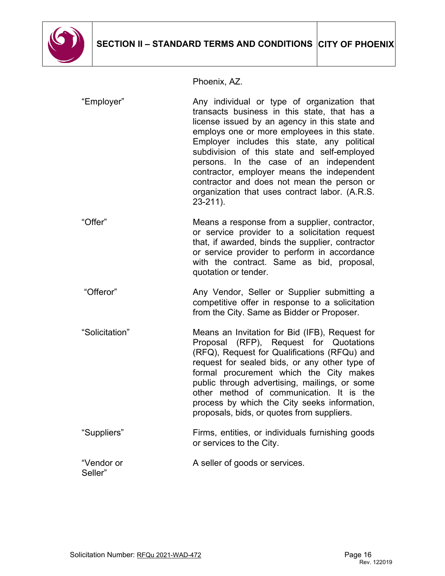

Phoenix, AZ.

| "Employer"            | Any individual or type of organization that<br>transacts business in this state, that has a<br>license issued by an agency in this state and<br>employs one or more employees in this state.<br>Employer includes this state, any political<br>subdivision of this state and self-employed<br>persons. In the case of an independent<br>contractor, employer means the independent<br>contractor and does not mean the person or<br>organization that uses contract labor. (A.R.S.<br>$23 - 211$ ). |
|-----------------------|-----------------------------------------------------------------------------------------------------------------------------------------------------------------------------------------------------------------------------------------------------------------------------------------------------------------------------------------------------------------------------------------------------------------------------------------------------------------------------------------------------|
| "Offer"               | Means a response from a supplier, contractor,<br>or service provider to a solicitation request<br>that, if awarded, binds the supplier, contractor<br>or service provider to perform in accordance<br>with the contract. Same as bid, proposal,<br>quotation or tender.                                                                                                                                                                                                                             |
| "Offeror"             | Any Vendor, Seller or Supplier submitting a<br>competitive offer in response to a solicitation<br>from the City. Same as Bidder or Proposer.                                                                                                                                                                                                                                                                                                                                                        |
| "Solicitation"        | Means an Invitation for Bid (IFB), Request for<br>Proposal (RFP), Request for Quotations<br>(RFQ), Request for Qualifications (RFQu) and<br>request for sealed bids, or any other type of<br>formal procurement which the City makes<br>public through advertising, mailings, or some<br>other method of communication. It is the<br>process by which the City seeks information,<br>proposals, bids, or quotes from suppliers.                                                                     |
| "Suppliers"           | Firms, entities, or individuals furnishing goods<br>or services to the City.                                                                                                                                                                                                                                                                                                                                                                                                                        |
| "Vendor or<br>Seller" | A seller of goods or services.                                                                                                                                                                                                                                                                                                                                                                                                                                                                      |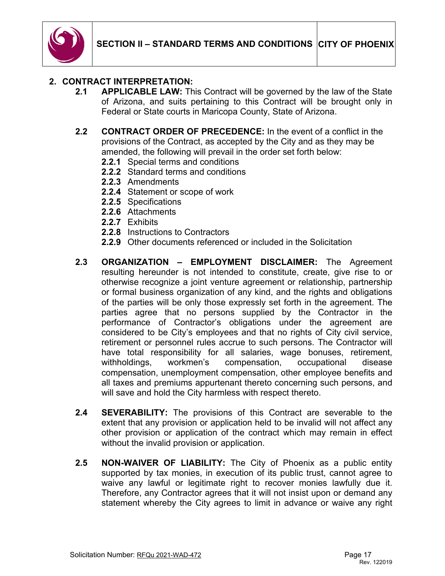

# **2. CONTRACT INTERPRETATION:**

- **2.1 APPLICABLE LAW:** This Contract will be governed by the law of the State of Arizona, and suits pertaining to this Contract will be brought only in Federal or State courts in Maricopa County, State of Arizona.
- **2.2 CONTRACT ORDER OF PRECEDENCE:** In the event of a conflict in the provisions of the Contract, as accepted by the City and as they may be amended, the following will prevail in the order set forth below:
	- **2.2.1** Special terms and conditions
	- **2.2.2** Standard terms and conditions
	- **2.2.3** Amendments
	- **2.2.4** Statement or scope of work
	- **2.2.5** Specifications
	- **2.2.6** Attachments
	- **2.2.7** Exhibits
	- **2.2.8** Instructions to Contractors
	- **2.2.9** Other documents referenced or included in the Solicitation
- **2.3 ORGANIZATION – EMPLOYMENT DISCLAIMER:** The Agreement resulting hereunder is not intended to constitute, create, give rise to or otherwise recognize a joint venture agreement or relationship, partnership or formal business organization of any kind, and the rights and obligations of the parties will be only those expressly set forth in the agreement. The parties agree that no persons supplied by the Contractor in the performance of Contractor's obligations under the agreement are considered to be City's employees and that no rights of City civil service, retirement or personnel rules accrue to such persons. The Contractor will have total responsibility for all salaries, wage bonuses, retirement, withholdings, workmen's compensation, occupational disease compensation, unemployment compensation, other employee benefits and all taxes and premiums appurtenant thereto concerning such persons, and will save and hold the City harmless with respect thereto.
- **2.4 SEVERABILITY:** The provisions of this Contract are severable to the extent that any provision or application held to be invalid will not affect any other provision or application of the contract which may remain in effect without the invalid provision or application.
- **2.5 NON-WAIVER OF LIABILITY:** The City of Phoenix as a public entity supported by tax monies, in execution of its public trust, cannot agree to waive any lawful or legitimate right to recover monies lawfully due it. Therefore, any Contractor agrees that it will not insist upon or demand any statement whereby the City agrees to limit in advance or waive any right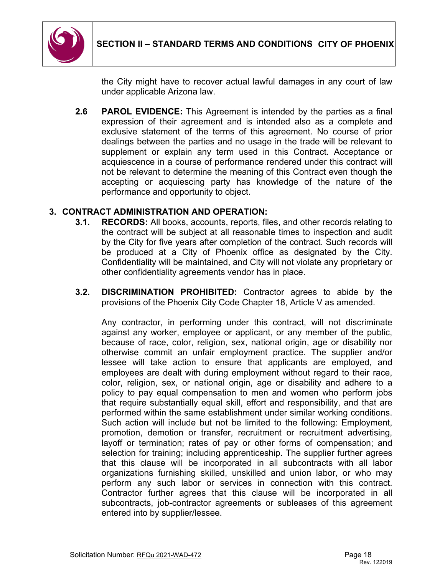

the City might have to recover actual lawful damages in any court of law under applicable Arizona law.

**2.6 PAROL EVIDENCE:** This Agreement is intended by the parties as a final expression of their agreement and is intended also as a complete and exclusive statement of the terms of this agreement. No course of prior dealings between the parties and no usage in the trade will be relevant to supplement or explain any term used in this Contract. Acceptance or acquiescence in a course of performance rendered under this contract will not be relevant to determine the meaning of this Contract even though the accepting or acquiescing party has knowledge of the nature of the performance and opportunity to object.

# **3. CONTRACT ADMINISTRATION AND OPERATION:**

- **3.1. RECORDS:** All books, accounts, reports, files, and other records relating to the contract will be subject at all reasonable times to inspection and audit by the City for five years after completion of the contract. Such records will be produced at a City of Phoenix office as designated by the City. Confidentiality will be maintained, and City will not violate any proprietary or other confidentiality agreements vendor has in place.
- **3.2. DISCRIMINATION PROHIBITED:** Contractor agrees to abide by the provisions of the Phoenix City Code Chapter 18, Article V as amended.

Any contractor, in performing under this contract, will not discriminate against any worker, employee or applicant, or any member of the public, because of race, color, religion, sex, national origin, age or disability nor otherwise commit an unfair employment practice. The supplier and/or lessee will take action to ensure that applicants are employed, and employees are dealt with during employment without regard to their race, color, religion, sex, or national origin, age or disability and adhere to a policy to pay equal compensation to men and women who perform jobs that require substantially equal skill, effort and responsibility, and that are performed within the same establishment under similar working conditions. Such action will include but not be limited to the following: Employment, promotion, demotion or transfer, recruitment or recruitment advertising, layoff or termination; rates of pay or other forms of compensation; and selection for training; including apprenticeship. The supplier further agrees that this clause will be incorporated in all subcontracts with all labor organizations furnishing skilled, unskilled and union labor, or who may perform any such labor or services in connection with this contract. Contractor further agrees that this clause will be incorporated in all subcontracts, job-contractor agreements or subleases of this agreement entered into by supplier/lessee.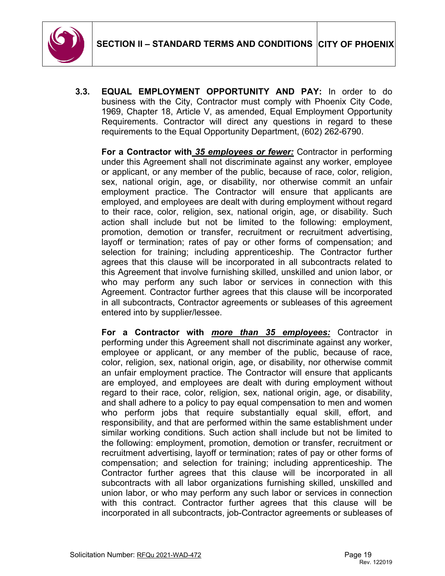

**3.3. EQUAL EMPLOYMENT OPPORTUNITY AND PAY:** In order to do business with the City, Contractor must comply with Phoenix City Code, 1969, Chapter 18, Article V, as amended, Equal Employment Opportunity Requirements. Contractor will direct any questions in regard to these requirements to the Equal Opportunity Department, (602) 262-6790.

**For a Contractor with** *35 employees or fewer:* Contractor in performing under this Agreement shall not discriminate against any worker, employee or applicant, or any member of the public, because of race, color, religion, sex, national origin, age, or disability, nor otherwise commit an unfair employment practice. The Contractor will ensure that applicants are employed, and employees are dealt with during employment without regard to their race, color, religion, sex, national origin, age, or disability. Such action shall include but not be limited to the following: employment, promotion, demotion or transfer, recruitment or recruitment advertising, layoff or termination; rates of pay or other forms of compensation; and selection for training; including apprenticeship. The Contractor further agrees that this clause will be incorporated in all subcontracts related to this Agreement that involve furnishing skilled, unskilled and union labor, or who may perform any such labor or services in connection with this Agreement. Contractor further agrees that this clause will be incorporated in all subcontracts, Contractor agreements or subleases of this agreement entered into by supplier/lessee.

**For a Contractor with** *more than 35 employees:* Contractor in performing under this Agreement shall not discriminate against any worker, employee or applicant, or any member of the public, because of race, color, religion, sex, national origin, age, or disability, nor otherwise commit an unfair employment practice. The Contractor will ensure that applicants are employed, and employees are dealt with during employment without regard to their race, color, religion, sex, national origin, age, or disability, and shall adhere to a policy to pay equal compensation to men and women who perform jobs that require substantially equal skill, effort, and responsibility, and that are performed within the same establishment under similar working conditions. Such action shall include but not be limited to the following: employment, promotion, demotion or transfer, recruitment or recruitment advertising, layoff or termination; rates of pay or other forms of compensation; and selection for training; including apprenticeship. The Contractor further agrees that this clause will be incorporated in all subcontracts with all labor organizations furnishing skilled, unskilled and union labor, or who may perform any such labor or services in connection with this contract. Contractor further agrees that this clause will be incorporated in all subcontracts, job-Contractor agreements or subleases of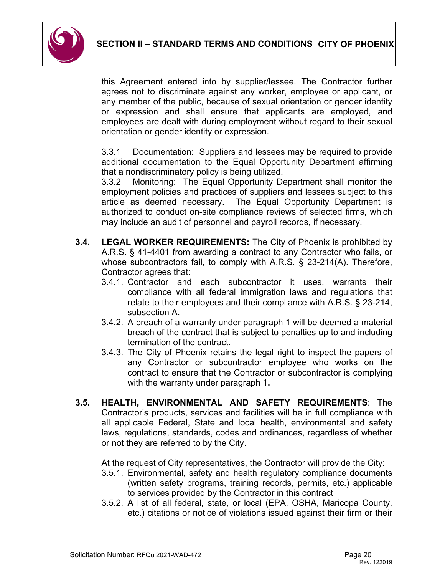

this Agreement entered into by supplier/lessee. The Contractor further agrees not to discriminate against any worker, employee or applicant, or any member of the public, because of sexual orientation or gender identity or expression and shall ensure that applicants are employed, and employees are dealt with during employment without regard to their sexual orientation or gender identity or expression.

3.3.1 Documentation: Suppliers and lessees may be required to provide additional documentation to the Equal Opportunity Department affirming that a nondiscriminatory policy is being utilized.

3.3.2 Monitoring: The Equal Opportunity Department shall monitor the employment policies and practices of suppliers and lessees subject to this article as deemed necessary. The Equal Opportunity Department is authorized to conduct on-site compliance reviews of selected firms, which may include an audit of personnel and payroll records, if necessary.

- **3.4. LEGAL WORKER REQUIREMENTS:** The City of Phoenix is prohibited by A.R.S. § 41-4401 from awarding a contract to any Contractor who fails, or whose subcontractors fail, to comply with A.R.S. § 23-214(A). Therefore, Contractor agrees that:
	- 3.4.1. Contractor and each subcontractor it uses, warrants their compliance with all federal immigration laws and regulations that relate to their employees and their compliance with A.R.S. § 23-214, subsection A.
	- 3.4.2. A breach of a warranty under paragraph 1 will be deemed a material breach of the contract that is subject to penalties up to and including termination of the contract.
	- 3.4.3. The City of Phoenix retains the legal right to inspect the papers of any Contractor or subcontractor employee who works on the contract to ensure that the Contractor or subcontractor is complying with the warranty under paragraph 1**.**
- **3.5. HEALTH, ENVIRONMENTAL AND SAFETY REQUIREMENTS**: The Contractor's products, services and facilities will be in full compliance with all applicable Federal, State and local health, environmental and safety laws, regulations, standards, codes and ordinances, regardless of whether or not they are referred to by the City.

At the request of City representatives, the Contractor will provide the City:

- 3.5.1. Environmental, safety and health regulatory compliance documents (written safety programs, training records, permits, etc.) applicable to services provided by the Contractor in this contract
- 3.5.2. A list of all federal, state, or local (EPA, OSHA, Maricopa County, etc.) citations or notice of violations issued against their firm or their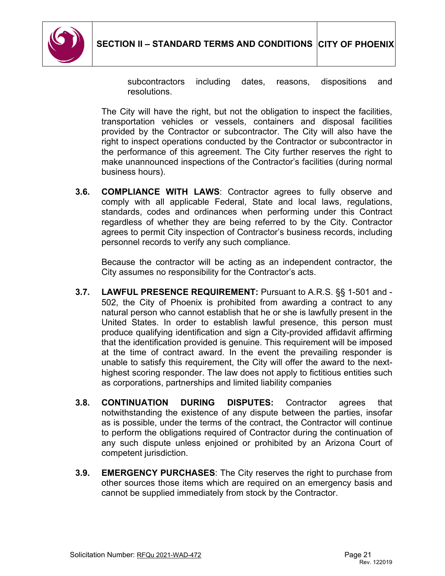

subcontractors including dates, reasons, dispositions and resolutions.

The City will have the right, but not the obligation to inspect the facilities, transportation vehicles or vessels, containers and disposal facilities provided by the Contractor or subcontractor. The City will also have the right to inspect operations conducted by the Contractor or subcontractor in the performance of this agreement. The City further reserves the right to make unannounced inspections of the Contractor's facilities (during normal business hours).

**3.6. COMPLIANCE WITH LAWS**: Contractor agrees to fully observe and comply with all applicable Federal, State and local laws, regulations, standards, codes and ordinances when performing under this Contract regardless of whether they are being referred to by the City. Contractor agrees to permit City inspection of Contractor's business records, including personnel records to verify any such compliance.

Because the contractor will be acting as an independent contractor, the City assumes no responsibility for the Contractor's acts.

- **3.7. LAWFUL PRESENCE REQUIREMENT:** Pursuant to A.R.S. §§ 1-501 and 502, the City of Phoenix is prohibited from awarding a contract to any natural person who cannot establish that he or she is lawfully present in the United States. In order to establish lawful presence, this person must produce qualifying identification and sign a City-provided affidavit affirming that the identification provided is genuine. This requirement will be imposed at the time of contract award. In the event the prevailing responder is unable to satisfy this requirement, the City will offer the award to the nexthighest scoring responder. The law does not apply to fictitious entities such as corporations, partnerships and limited liability companies
- **3.8. CONTINUATION DURING DISPUTES:** Contractor agrees that notwithstanding the existence of any dispute between the parties, insofar as is possible, under the terms of the contract, the Contractor will continue to perform the obligations required of Contractor during the continuation of any such dispute unless enjoined or prohibited by an Arizona Court of competent jurisdiction.
- **3.9. EMERGENCY PURCHASES**: The City reserves the right to purchase from other sources those items which are required on an emergency basis and cannot be supplied immediately from stock by the Contractor.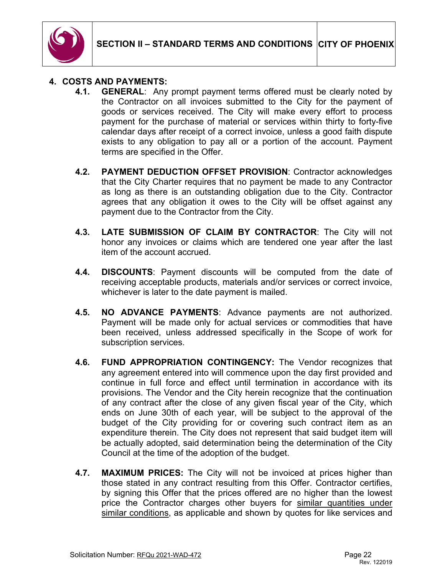

### **4. COSTS AND PAYMENTS:**

- **4.1. GENERAL**: Any prompt payment terms offered must be clearly noted by the Contractor on all invoices submitted to the City for the payment of goods or services received. The City will make every effort to process payment for the purchase of material or services within thirty to forty-five calendar days after receipt of a correct invoice, unless a good faith dispute exists to any obligation to pay all or a portion of the account. Payment terms are specified in the Offer.
- **4.2. PAYMENT DEDUCTION OFFSET PROVISION**: Contractor acknowledges that the City Charter requires that no payment be made to any Contractor as long as there is an outstanding obligation due to the City. Contractor agrees that any obligation it owes to the City will be offset against any payment due to the Contractor from the City.
- **4.3. LATE SUBMISSION OF CLAIM BY CONTRACTOR**: The City will not honor any invoices or claims which are tendered one year after the last item of the account accrued.
- **4.4. DISCOUNTS**: Payment discounts will be computed from the date of receiving acceptable products, materials and/or services or correct invoice, whichever is later to the date payment is mailed.
- **4.5. NO ADVANCE PAYMENTS**: Advance payments are not authorized. Payment will be made only for actual services or commodities that have been received, unless addressed specifically in the Scope of work for subscription services.
- **4.6. FUND APPROPRIATION CONTINGENCY:** The Vendor recognizes that any agreement entered into will commence upon the day first provided and continue in full force and effect until termination in accordance with its provisions. The Vendor and the City herein recognize that the continuation of any contract after the close of any given fiscal year of the City, which ends on June 30th of each year, will be subject to the approval of the budget of the City providing for or covering such contract item as an expenditure therein. The City does not represent that said budget item will be actually adopted, said determination being the determination of the City Council at the time of the adoption of the budget.
- **4.7. MAXIMUM PRICES:** The City will not be invoiced at prices higher than those stated in any contract resulting from this Offer. Contractor certifies, by signing this Offer that the prices offered are no higher than the lowest price the Contractor charges other buyers for similar quantities under similar conditions, as applicable and shown by quotes for like services and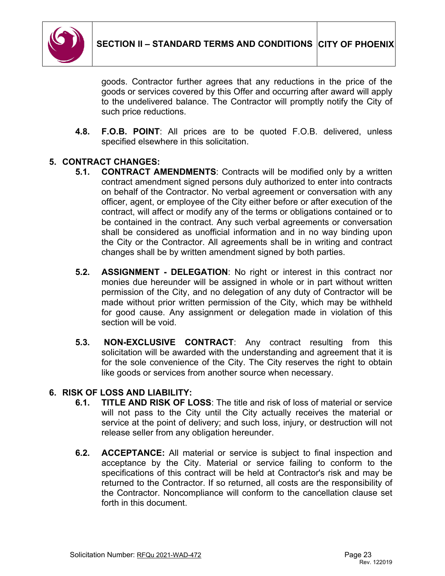

goods. Contractor further agrees that any reductions in the price of the goods or services covered by this Offer and occurring after award will apply to the undelivered balance. The Contractor will promptly notify the City of such price reductions.

**4.8. F.O.B. POINT**: All prices are to be quoted F.O.B. delivered, unless specified elsewhere in this solicitation.

# **5. CONTRACT CHANGES:**

- **5.1. CONTRACT AMENDMENTS**: Contracts will be modified only by a written contract amendment signed persons duly authorized to enter into contracts on behalf of the Contractor. No verbal agreement or conversation with any officer, agent, or employee of the City either before or after execution of the contract, will affect or modify any of the terms or obligations contained or to be contained in the contract. Any such verbal agreements or conversation shall be considered as unofficial information and in no way binding upon the City or the Contractor. All agreements shall be in writing and contract changes shall be by written amendment signed by both parties.
- **5.2. ASSIGNMENT - DELEGATION**: No right or interest in this contract nor monies due hereunder will be assigned in whole or in part without written permission of the City, and no delegation of any duty of Contractor will be made without prior written permission of the City, which may be withheld for good cause. Any assignment or delegation made in violation of this section will be void.
- **5.3. NON-EXCLUSIVE CONTRACT**: Any contract resulting from this solicitation will be awarded with the understanding and agreement that it is for the sole convenience of the City. The City reserves the right to obtain like goods or services from another source when necessary.

# **6. RISK OF LOSS AND LIABILITY:**

- **6.1. TITLE AND RISK OF LOSS**: The title and risk of loss of material or service will not pass to the City until the City actually receives the material or service at the point of delivery; and such loss, injury, or destruction will not release seller from any obligation hereunder.
- **6.2. ACCEPTANCE:** All material or service is subject to final inspection and acceptance by the City. Material or service failing to conform to the specifications of this contract will be held at Contractor's risk and may be returned to the Contractor. If so returned, all costs are the responsibility of the Contractor. Noncompliance will conform to the cancellation clause set forth in this document.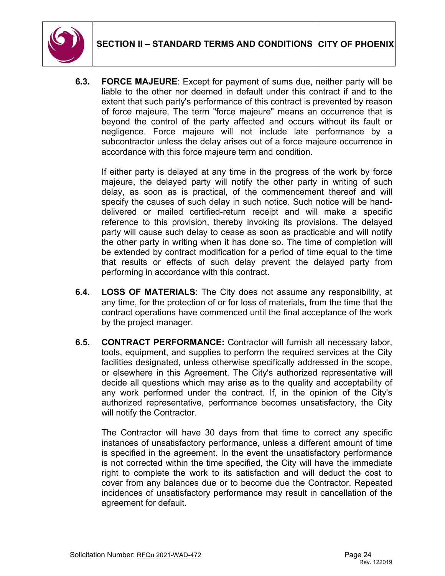

**6.3. FORCE MAJEURE**: Except for payment of sums due, neither party will be liable to the other nor deemed in default under this contract if and to the extent that such party's performance of this contract is prevented by reason of force majeure. The term "force majeure" means an occurrence that is beyond the control of the party affected and occurs without its fault or negligence. Force majeure will not include late performance by a subcontractor unless the delay arises out of a force majeure occurrence in accordance with this force majeure term and condition.

If either party is delayed at any time in the progress of the work by force majeure, the delayed party will notify the other party in writing of such delay, as soon as is practical, of the commencement thereof and will specify the causes of such delay in such notice. Such notice will be handdelivered or mailed certified-return receipt and will make a specific reference to this provision, thereby invoking its provisions. The delayed party will cause such delay to cease as soon as practicable and will notify the other party in writing when it has done so. The time of completion will be extended by contract modification for a period of time equal to the time that results or effects of such delay prevent the delayed party from performing in accordance with this contract.

- **6.4. LOSS OF MATERIALS**: The City does not assume any responsibility, at any time, for the protection of or for loss of materials, from the time that the contract operations have commenced until the final acceptance of the work by the project manager.
- **6.5. CONTRACT PERFORMANCE:** Contractor will furnish all necessary labor, tools, equipment, and supplies to perform the required services at the City facilities designated, unless otherwise specifically addressed in the scope, or elsewhere in this Agreement. The City's authorized representative will decide all questions which may arise as to the quality and acceptability of any work performed under the contract. If, in the opinion of the City's authorized representative, performance becomes unsatisfactory, the City will notify the Contractor.

The Contractor will have 30 days from that time to correct any specific instances of unsatisfactory performance, unless a different amount of time is specified in the agreement. In the event the unsatisfactory performance is not corrected within the time specified, the City will have the immediate right to complete the work to its satisfaction and will deduct the cost to cover from any balances due or to become due the Contractor. Repeated incidences of unsatisfactory performance may result in cancellation of the agreement for default.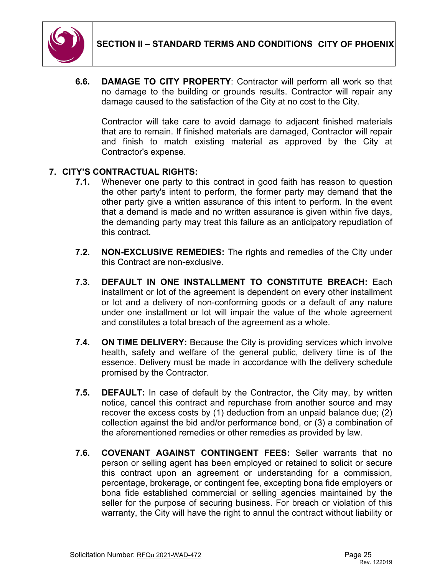

**6.6. DAMAGE TO CITY PROPERTY**: Contractor will perform all work so that no damage to the building or grounds results. Contractor will repair any damage caused to the satisfaction of the City at no cost to the City.

Contractor will take care to avoid damage to adjacent finished materials that are to remain. If finished materials are damaged, Contractor will repair and finish to match existing material as approved by the City at Contractor's expense.

# **7. CITY'S CONTRACTUAL RIGHTS:**

- **7.1.** Whenever one party to this contract in good faith has reason to question the other party's intent to perform, the former party may demand that the other party give a written assurance of this intent to perform. In the event that a demand is made and no written assurance is given within five days, the demanding party may treat this failure as an anticipatory repudiation of this contract.
- **7.2. NON-EXCLUSIVE REMEDIES:** The rights and remedies of the City under this Contract are non-exclusive.
- **7.3. DEFAULT IN ONE INSTALLMENT TO CONSTITUTE BREACH:** Each installment or lot of the agreement is dependent on every other installment or lot and a delivery of non-conforming goods or a default of any nature under one installment or lot will impair the value of the whole agreement and constitutes a total breach of the agreement as a whole.
- **7.4. ON TIME DELIVERY:** Because the City is providing services which involve health, safety and welfare of the general public, delivery time is of the essence. Delivery must be made in accordance with the delivery schedule promised by the Contractor.
- **7.5. DEFAULT:** In case of default by the Contractor, the City may, by written notice, cancel this contract and repurchase from another source and may recover the excess costs by (1) deduction from an unpaid balance due; (2) collection against the bid and/or performance bond, or (3) a combination of the aforementioned remedies or other remedies as provided by law.
- **7.6. COVENANT AGAINST CONTINGENT FEES:** Seller warrants that no person or selling agent has been employed or retained to solicit or secure this contract upon an agreement or understanding for a commission, percentage, brokerage, or contingent fee, excepting bona fide employers or bona fide established commercial or selling agencies maintained by the seller for the purpose of securing business. For breach or violation of this warranty, the City will have the right to annul the contract without liability or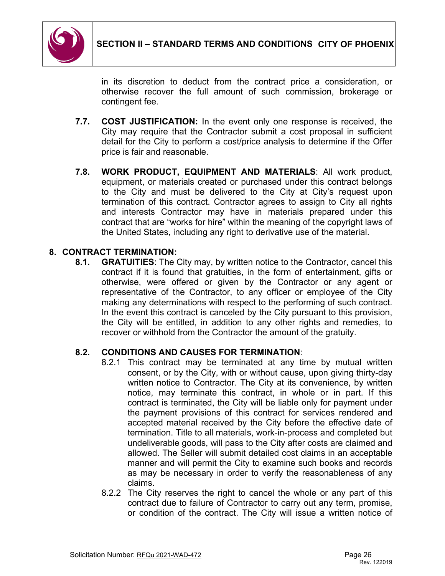

in its discretion to deduct from the contract price a consideration, or otherwise recover the full amount of such commission, brokerage or contingent fee.

- **7.7. COST JUSTIFICATION:** In the event only one response is received, the City may require that the Contractor submit a cost proposal in sufficient detail for the City to perform a cost/price analysis to determine if the Offer price is fair and reasonable.
- **7.8. WORK PRODUCT, EQUIPMENT AND MATERIALS**: All work product, equipment, or materials created or purchased under this contract belongs to the City and must be delivered to the City at City's request upon termination of this contract. Contractor agrees to assign to City all rights and interests Contractor may have in materials prepared under this contract that are "works for hire" within the meaning of the copyright laws of the United States, including any right to derivative use of the material.

# **8. CONTRACT TERMINATION:**

**8.1. GRATUITIES**: The City may, by written notice to the Contractor, cancel this contract if it is found that gratuities, in the form of entertainment, gifts or otherwise, were offered or given by the Contractor or any agent or representative of the Contractor, to any officer or employee of the City making any determinations with respect to the performing of such contract. In the event this contract is canceled by the City pursuant to this provision, the City will be entitled, in addition to any other rights and remedies, to recover or withhold from the Contractor the amount of the gratuity.

### **8.2. CONDITIONS AND CAUSES FOR TERMINATION**:

- 8.2.1 This contract may be terminated at any time by mutual written consent, or by the City, with or without cause, upon giving thirty-day written notice to Contractor. The City at its convenience, by written notice, may terminate this contract, in whole or in part. If this contract is terminated, the City will be liable only for payment under the payment provisions of this contract for services rendered and accepted material received by the City before the effective date of termination. Title to all materials, work-in-process and completed but undeliverable goods, will pass to the City after costs are claimed and allowed. The Seller will submit detailed cost claims in an acceptable manner and will permit the City to examine such books and records as may be necessary in order to verify the reasonableness of any claims.
- 8.2.2 The City reserves the right to cancel the whole or any part of this contract due to failure of Contractor to carry out any term, promise, or condition of the contract. The City will issue a written notice of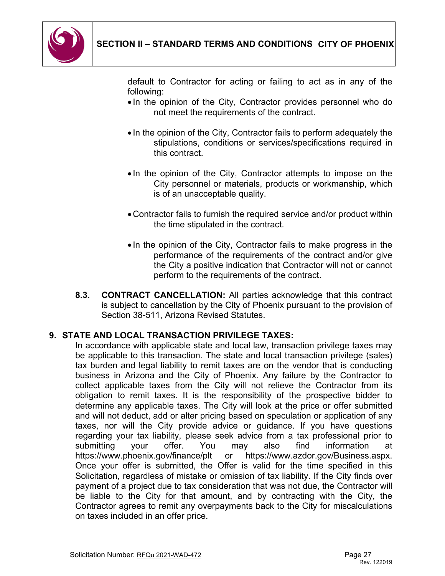

default to Contractor for acting or failing to act as in any of the following:

- In the opinion of the City, Contractor provides personnel who do not meet the requirements of the contract.
- In the opinion of the City, Contractor fails to perform adequately the stipulations, conditions or services/specifications required in this contract.
- In the opinion of the City, Contractor attempts to impose on the City personnel or materials, products or workmanship, which is of an unacceptable quality.
- •Contractor fails to furnish the required service and/or product within the time stipulated in the contract.
- In the opinion of the City, Contractor fails to make progress in the performance of the requirements of the contract and/or give the City a positive indication that Contractor will not or cannot perform to the requirements of the contract.
- **8.3. CONTRACT CANCELLATION:** All parties acknowledge that this contract is subject to cancellation by the City of Phoenix pursuant to the provision of Section 38-511, Arizona Revised Statutes.

# **9. STATE AND LOCAL TRANSACTION PRIVILEGE TAXES:**

In accordance with applicable state and local law, transaction privilege taxes may be applicable to this transaction. The state and local transaction privilege (sales) tax burden and legal liability to remit taxes are on the vendor that is conducting business in Arizona and the City of Phoenix. Any failure by the Contractor to collect applicable taxes from the City will not relieve the Contractor from its obligation to remit taxes. It is the responsibility of the prospective bidder to determine any applicable taxes. The City will look at the price or offer submitted and will not deduct, add or alter pricing based on speculation or application of any taxes, nor will the City provide advice or guidance. If you have questions regarding your tax liability, please seek advice from a tax professional prior to submitting your offer. You may also find information at https://www.phoenix.gov/finance/plt or https://www.azdor.gov/Business.aspx. Once your offer is submitted, the Offer is valid for the time specified in this Solicitation, regardless of mistake or omission of tax liability. If the City finds over payment of a project due to tax consideration that was not due, the Contractor will be liable to the City for that amount, and by contracting with the City, the Contractor agrees to remit any overpayments back to the City for miscalculations on taxes included in an offer price.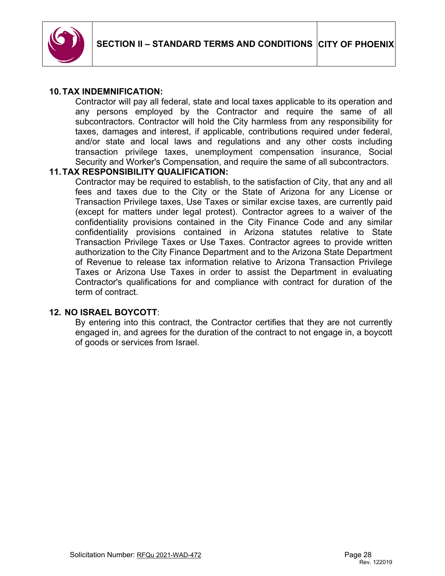

### **10.TAX INDEMNIFICATION:**

Contractor will pay all federal, state and local taxes applicable to its operation and any persons employed by the Contractor and require the same of all subcontractors. Contractor will hold the City harmless from any responsibility for taxes, damages and interest, if applicable, contributions required under federal, and/or state and local laws and regulations and any other costs including transaction privilege taxes, unemployment compensation insurance, Social Security and Worker's Compensation, and require the same of all subcontractors.

### **11.TAX RESPONSIBILITY QUALIFICATION:**

Contractor may be required to establish, to the satisfaction of City, that any and all fees and taxes due to the City or the State of Arizona for any License or Transaction Privilege taxes, Use Taxes or similar excise taxes, are currently paid (except for matters under legal protest). Contractor agrees to a waiver of the confidentiality provisions contained in the City Finance Code and any similar confidentiality provisions contained in Arizona statutes relative to State Transaction Privilege Taxes or Use Taxes. Contractor agrees to provide written authorization to the City Finance Department and to the Arizona State Department of Revenue to release tax information relative to Arizona Transaction Privilege Taxes or Arizona Use Taxes in order to assist the Department in evaluating Contractor's qualifications for and compliance with contract for duration of the term of contract.

#### **12. NO ISRAEL BOYCOTT**:

By entering into this contract, the Contractor certifies that they are not currently engaged in, and agrees for the duration of the contract to not engage in, a boycott of goods or services from Israel.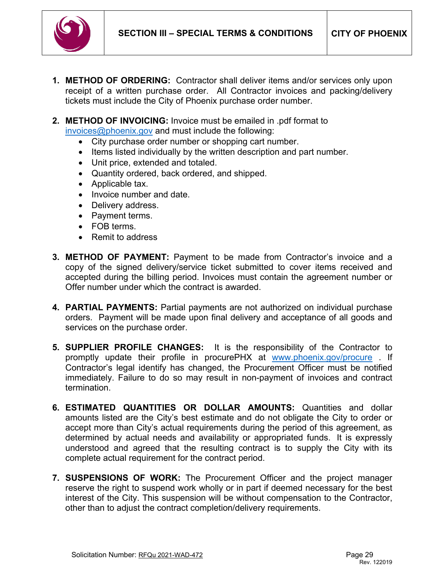

- <span id="page-28-0"></span>**1. METHOD OF ORDERING:** Contractor shall deliver items and/or services only upon receipt of a written purchase order. All Contractor invoices and packing/delivery tickets must include the City of Phoenix purchase order number.
- **2. METHOD OF INVOICING:** Invoice must be emailed in .pdf format to

[invoices@phoenix.gov](mailto:invoices@phoenix.gov) and must include the following:

- City purchase order number or shopping cart number.
- Items listed individually by the written description and part number.
- Unit price, extended and totaled.
- Quantity ordered, back ordered, and shipped.
- Applicable tax.
- Invoice number and date.
- Delivery address.
- Payment terms.
- FOB terms.
- Remit to address
- **3. METHOD OF PAYMENT:** Payment to be made from Contractor's invoice and a copy of the signed delivery/service ticket submitted to cover items received and accepted during the billing period. Invoices must contain the agreement number or Offer number under which the contract is awarded.
- **4. PARTIAL PAYMENTS:** Partial payments are not authorized on individual purchase orders. Payment will be made upon final delivery and acceptance of all goods and services on the purchase order.
- **5. SUPPLIER PROFILE CHANGES:** It is the responsibility of the Contractor to promptly update their profile in procurePHX at [www.phoenix.gov/procure](http://www.phoenix.gov/procure) . If Contractor's legal identify has changed, the Procurement Officer must be notified immediately. Failure to do so may result in non-payment of invoices and contract termination.
- **6. ESTIMATED QUANTITIES OR DOLLAR AMOUNTS:** Quantities and dollar amounts listed are the City's best estimate and do not obligate the City to order or accept more than City's actual requirements during the period of this agreement, as determined by actual needs and availability or appropriated funds. It is expressly understood and agreed that the resulting contract is to supply the City with its complete actual requirement for the contract period.
- **7. SUSPENSIONS OF WORK:** The Procurement Officer and the project manager reserve the right to suspend work wholly or in part if deemed necessary for the best interest of the City. This suspension will be without compensation to the Contractor, other than to adjust the contract completion/delivery requirements.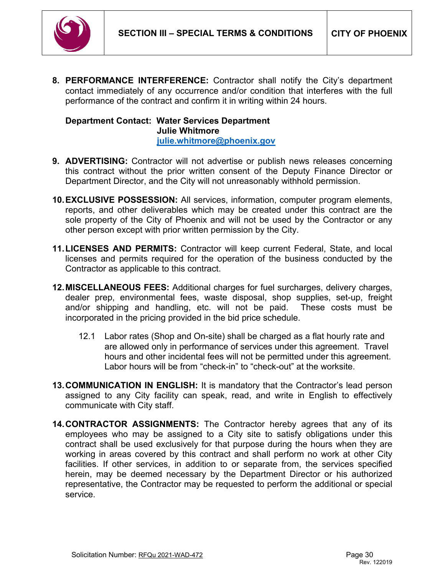

**8. PERFORMANCE INTERFERENCE:** Contractor shall notify the City's department contact immediately of any occurrence and/or condition that interferes with the full performance of the contract and confirm it in writing within 24 hours.

### **Department Contact: Water Services Department Julie Whitmore [julie.whitmore@phoenix.gov](mailto:julie.whitmore@phoenix.gov)**

- **9. ADVERTISING:** Contractor will not advertise or publish news releases concerning this contract without the prior written consent of the Deputy Finance Director or Department Director, and the City will not unreasonably withhold permission.
- **10.EXCLUSIVE POSSESSION:** All services, information, computer program elements, reports, and other deliverables which may be created under this contract are the sole property of the City of Phoenix and will not be used by the Contractor or any other person except with prior written permission by the City.
- **11.LICENSES AND PERMITS:** Contractor will keep current Federal, State, and local licenses and permits required for the operation of the business conducted by the Contractor as applicable to this contract.
- **12.MISCELLANEOUS FEES:** Additional charges for fuel surcharges, delivery charges, dealer prep, environmental fees, waste disposal, shop supplies, set-up, freight and/or shipping and handling, etc. will not be paid. These costs must be incorporated in the pricing provided in the bid price schedule.
	- 12.1 Labor rates (Shop and On-site) shall be charged as a flat hourly rate and are allowed only in performance of services under this agreement. Travel hours and other incidental fees will not be permitted under this agreement. Labor hours will be from "check-in" to "check-out" at the worksite.
- **13.COMMUNICATION IN ENGLISH:** It is mandatory that the Contractor's lead person assigned to any City facility can speak, read, and write in English to effectively communicate with City staff.
- **14.CONTRACTOR ASSIGNMENTS:** The Contractor hereby agrees that any of its employees who may be assigned to a City site to satisfy obligations under this contract shall be used exclusively for that purpose during the hours when they are working in areas covered by this contract and shall perform no work at other City facilities. If other services, in addition to or separate from, the services specified herein, may be deemed necessary by the Department Director or his authorized representative, the Contractor may be requested to perform the additional or special service.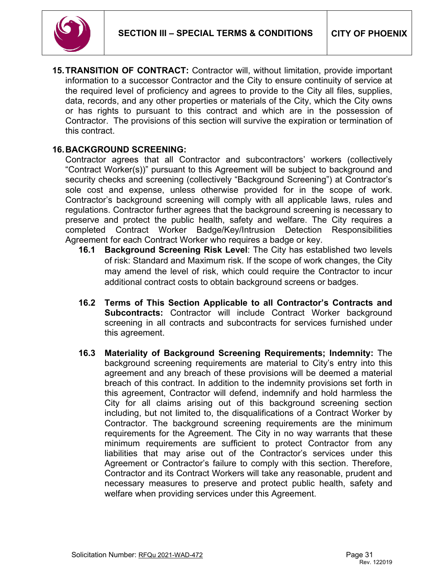



**15.TRANSITION OF CONTRACT:** Contractor will, without limitation, provide important information to a successor Contractor and the City to ensure continuity of service at the required level of proficiency and agrees to provide to the City all files, supplies, data, records, and any other properties or materials of the City, which the City owns or has rights to pursuant to this contract and which are in the possession of Contractor. The provisions of this section will survive the expiration or termination of this contract.

### **16.BACKGROUND SCREENING:**

Contractor agrees that all Contractor and subcontractors' workers (collectively "Contract Worker(s))" pursuant to this Agreement will be subject to background and security checks and screening (collectively "Background Screening") at Contractor's sole cost and expense, unless otherwise provided for in the scope of work. Contractor's background screening will comply with all applicable laws, rules and regulations. Contractor further agrees that the background screening is necessary to preserve and protect the public health, safety and welfare. The City requires a completed Contract Worker Badge/Key/Intrusion Detection Responsibilities Agreement for each Contract Worker who requires a badge or key.

- **16.1 Background Screening Risk Level**: The City has established two levels of risk: Standard and Maximum risk. If the scope of work changes, the City may amend the level of risk, which could require the Contractor to incur additional contract costs to obtain background screens or badges.
- **16.2 Terms of This Section Applicable to all Contractor's Contracts and Subcontracts:** Contractor will include Contract Worker background screening in all contracts and subcontracts for services furnished under this agreement.
- **16.3 Materiality of Background Screening Requirements; Indemnity:** The background screening requirements are material to City's entry into this agreement and any breach of these provisions will be deemed a material breach of this contract. In addition to the indemnity provisions set forth in this agreement, Contractor will defend, indemnify and hold harmless the City for all claims arising out of this background screening section including, but not limited to, the disqualifications of a Contract Worker by Contractor. The background screening requirements are the minimum requirements for the Agreement. The City in no way warrants that these minimum requirements are sufficient to protect Contractor from any liabilities that may arise out of the Contractor's services under this Agreement or Contractor's failure to comply with this section. Therefore, Contractor and its Contract Workers will take any reasonable, prudent and necessary measures to preserve and protect public health, safety and welfare when providing services under this Agreement.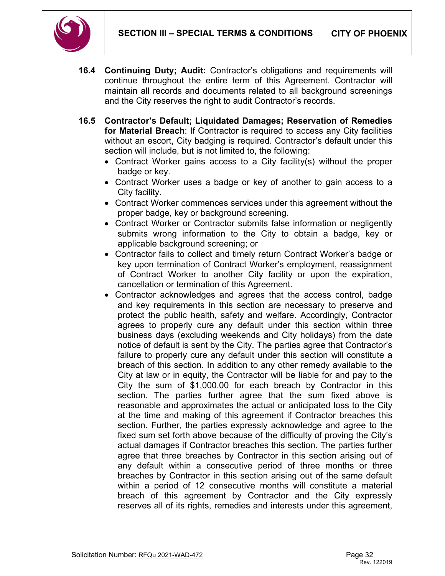

- **16.4 Continuing Duty; Audit:** Contractor's obligations and requirements will continue throughout the entire term of this Agreement. Contractor will maintain all records and documents related to all background screenings and the City reserves the right to audit Contractor's records.
- **16.5 Contractor's Default; Liquidated Damages; Reservation of Remedies for Material Breach**: If Contractor is required to access any City facilities without an escort, City badging is required. Contractor's default under this section will include, but is not limited to, the following:
	- Contract Worker gains access to a City facility(s) without the proper badge or key.
	- Contract Worker uses a badge or key of another to gain access to a City facility.
	- Contract Worker commences services under this agreement without the proper badge, key or background screening.
	- Contract Worker or Contractor submits false information or negligently submits wrong information to the City to obtain a badge, key or applicable background screening; or
	- Contractor fails to collect and timely return Contract Worker's badge or key upon termination of Contract Worker's employment, reassignment of Contract Worker to another City facility or upon the expiration, cancellation or termination of this Agreement.
	- Contractor acknowledges and agrees that the access control, badge and key requirements in this section are necessary to preserve and protect the public health, safety and welfare. Accordingly, Contractor agrees to properly cure any default under this section within three business days (excluding weekends and City holidays) from the date notice of default is sent by the City. The parties agree that Contractor's failure to properly cure any default under this section will constitute a breach of this section. In addition to any other remedy available to the City at law or in equity, the Contractor will be liable for and pay to the City the sum of \$1,000.00 for each breach by Contractor in this section. The parties further agree that the sum fixed above is reasonable and approximates the actual or anticipated loss to the City at the time and making of this agreement if Contractor breaches this section. Further, the parties expressly acknowledge and agree to the fixed sum set forth above because of the difficulty of proving the City's actual damages if Contractor breaches this section. The parties further agree that three breaches by Contractor in this section arising out of any default within a consecutive period of three months or three breaches by Contractor in this section arising out of the same default within a period of 12 consecutive months will constitute a material breach of this agreement by Contractor and the City expressly reserves all of its rights, remedies and interests under this agreement,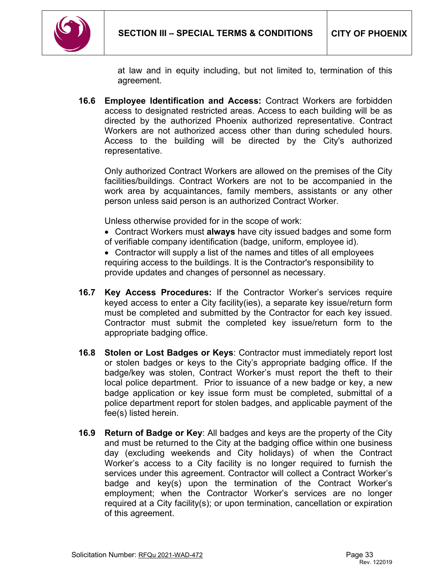

at law and in equity including, but not limited to, termination of this agreement.

**16.6 Employee Identification and Access:** Contract Workers are forbidden access to designated restricted areas. Access to each building will be as directed by the authorized Phoenix authorized representative. Contract Workers are not authorized access other than during scheduled hours. Access to the building will be directed by the City's authorized representative.

Only authorized Contract Workers are allowed on the premises of the City facilities/buildings. Contract Workers are not to be accompanied in the work area by acquaintances, family members, assistants or any other person unless said person is an authorized Contract Worker.

Unless otherwise provided for in the scope of work:

• Contract Workers must **always** have city issued badges and some form of verifiable company identification (badge, uniform, employee id).

• Contractor will supply a list of the names and titles of all employees requiring access to the buildings. It is the Contractor's responsibility to provide updates and changes of personnel as necessary.

- **16.7 Key Access Procedures:** If the Contractor Worker's services require keyed access to enter a City facility(ies), a separate key issue/return form must be completed and submitted by the Contractor for each key issued. Contractor must submit the completed key issue/return form to the appropriate badging office.
- **16.8 Stolen or Lost Badges or Keys**: Contractor must immediately report lost or stolen badges or keys to the City's appropriate badging office. If the badge/key was stolen, Contract Worker's must report the theft to their local police department. Prior to issuance of a new badge or key, a new badge application or key issue form must be completed, submittal of a police department report for stolen badges, and applicable payment of the fee(s) listed herein.
- **16.9 Return of Badge or Key**: All badges and keys are the property of the City and must be returned to the City at the badging office within one business day (excluding weekends and City holidays) of when the Contract Worker's access to a City facility is no longer required to furnish the services under this agreement. Contractor will collect a Contract Worker's badge and key(s) upon the termination of the Contract Worker's employment; when the Contractor Worker's services are no longer required at a City facility(s); or upon termination, cancellation or expiration of this agreement.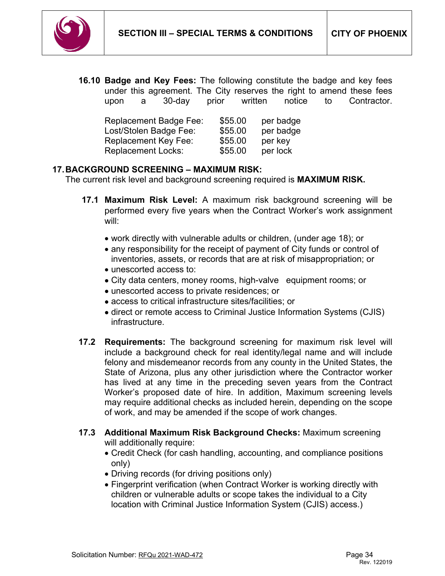

**16.10 Badge and Key Fees:** The following constitute the badge and key fees under this agreement. The City reserves the right to amend these fees upon a 30-day prior written notice to Contractor.

| <b>Replacement Badge Fee:</b> | \$55.00 | per badge |
|-------------------------------|---------|-----------|
| Lost/Stolen Badge Fee:        | \$55.00 | per badge |
| <b>Replacement Key Fee:</b>   | \$55.00 | per key   |
| <b>Replacement Locks:</b>     | \$55.00 | per lock  |

### **17.BACKGROUND SCREENING – MAXIMUM RISK:**

The current risk level and background screening required is **MAXIMUM RISK.**

- **17.1 Maximum Risk Level:** A maximum risk background screening will be performed every five years when the Contract Worker's work assignment will:
	- work directly with vulnerable adults or children, (under age 18); or
	- any responsibility for the receipt of payment of City funds or control of inventories, assets, or records that are at risk of misappropriation; or
	- unescorted access to:
	- City data centers, money rooms, high-valve equipment rooms; or
	- unescorted access to private residences; or
	- access to critical infrastructure sites/facilities; or
	- direct or remote access to Criminal Justice Information Systems (CJIS) infrastructure.
- **17.2 Requirements:** The background screening for maximum risk level will include a background check for real identity/legal name and will include felony and misdemeanor records from any county in the United States, the State of Arizona, plus any other jurisdiction where the Contractor worker has lived at any time in the preceding seven years from the Contract Worker's proposed date of hire. In addition, Maximum screening levels may require additional checks as included herein, depending on the scope of work, and may be amended if the scope of work changes.
- **17.3 Additional Maximum Risk Background Checks:** Maximum screening will additionally require:
	- Credit Check (for cash handling, accounting, and compliance positions only)
	- Driving records (for driving positions only)
	- Fingerprint verification (when Contract Worker is working directly with children or vulnerable adults or scope takes the individual to a City location with Criminal Justice Information System (CJIS) access.)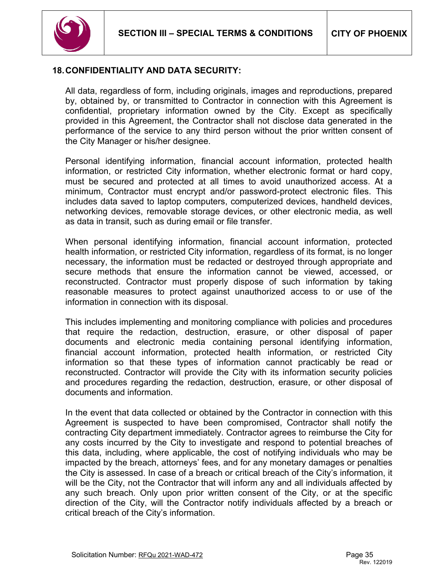

### **18.CONFIDENTIALITY AND DATA SECURITY:**

All data, regardless of form, including originals, images and reproductions, prepared by, obtained by, or transmitted to Contractor in connection with this Agreement is confidential, proprietary information owned by the City. Except as specifically provided in this Agreement, the Contractor shall not disclose data generated in the performance of the service to any third person without the prior written consent of the City Manager or his/her designee.

Personal identifying information, financial account information, protected health information, or restricted City information, whether electronic format or hard copy, must be secured and protected at all times to avoid unauthorized access. At a minimum, Contractor must encrypt and/or password-protect electronic files. This includes data saved to laptop computers, computerized devices, handheld devices, networking devices, removable storage devices, or other electronic media, as well as data in transit, such as during email or file transfer.

When personal identifying information, financial account information, protected health information, or restricted City information, regardless of its format, is no longer necessary, the information must be redacted or destroyed through appropriate and secure methods that ensure the information cannot be viewed, accessed, or reconstructed. Contractor must properly dispose of such information by taking reasonable measures to protect against unauthorized access to or use of the information in connection with its disposal.

This includes implementing and monitoring compliance with policies and procedures that require the redaction, destruction, erasure, or other disposal of paper documents and electronic media containing personal identifying information, financial account information, protected health information, or restricted City information so that these types of information cannot practicably be read or reconstructed. Contractor will provide the City with its information security policies and procedures regarding the redaction, destruction, erasure, or other disposal of documents and information.

In the event that data collected or obtained by the Contractor in connection with this Agreement is suspected to have been compromised, Contractor shall notify the contracting City department immediately. Contractor agrees to reimburse the City for any costs incurred by the City to investigate and respond to potential breaches of this data, including, where applicable, the cost of notifying individuals who may be impacted by the breach, attorneys' fees, and for any monetary damages or penalties the City is assessed. In case of a breach or critical breach of the City's information, it will be the City, not the Contractor that will inform any and all individuals affected by any such breach. Only upon prior written consent of the City, or at the specific direction of the City, will the Contractor notify individuals affected by a breach or critical breach of the City's information.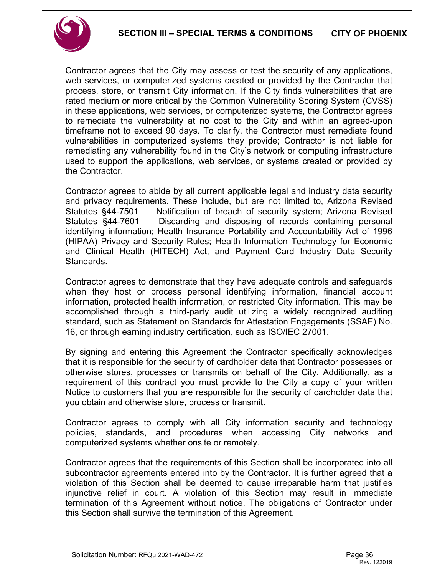

Contractor agrees that the City may assess or test the security of any applications, web services, or computerized systems created or provided by the Contractor that process, store, or transmit City information. If the City finds vulnerabilities that are rated medium or more critical by the Common Vulnerability Scoring System (CVSS) in these applications, web services, or computerized systems, the Contractor agrees to remediate the vulnerability at no cost to the City and within an agreed-upon timeframe not to exceed 90 days. To clarify, the Contractor must remediate found vulnerabilities in computerized systems they provide; Contractor is not liable for remediating any vulnerability found in the City's network or computing infrastructure used to support the applications, web services, or systems created or provided by the Contractor.

Contractor agrees to abide by all current applicable legal and industry data security and privacy requirements. These include, but are not limited to, Arizona Revised Statutes §44-7501 — Notification of breach of security system; Arizona Revised Statutes §44-7601 — Discarding and disposing of records containing personal identifying information; Health Insurance Portability and Accountability Act of 1996 (HIPAA) Privacy and Security Rules; Health Information Technology for Economic and Clinical Health (HITECH) Act, and Payment Card Industry Data Security Standards.

Contractor agrees to demonstrate that they have adequate controls and safeguards when they host or process personal identifying information, financial account information, protected health information, or restricted City information. This may be accomplished through a third-party audit utilizing a widely recognized auditing standard, such as Statement on Standards for Attestation Engagements (SSAE) No. 16, or through earning industry certification, such as ISO/IEC 27001.

By signing and entering this Agreement the Contractor specifically acknowledges that it is responsible for the security of cardholder data that Contractor possesses or otherwise stores, processes or transmits on behalf of the City. Additionally, as a requirement of this contract you must provide to the City a copy of your written Notice to customers that you are responsible for the security of cardholder data that you obtain and otherwise store, process or transmit.

Contractor agrees to comply with all City information security and technology policies, standards, and procedures when accessing City networks and computerized systems whether onsite or remotely.

Contractor agrees that the requirements of this Section shall be incorporated into all subcontractor agreements entered into by the Contractor. It is further agreed that a violation of this Section shall be deemed to cause irreparable harm that justifies injunctive relief in court. A violation of this Section may result in immediate termination of this Agreement without notice. The obligations of Contractor under this Section shall survive the termination of this Agreement.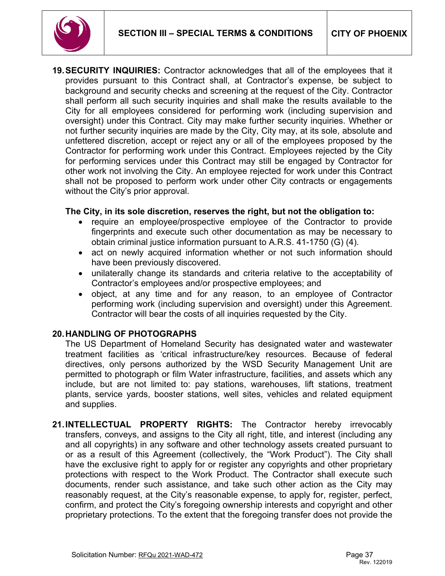

**19.SECURITY INQUIRIES:** Contractor acknowledges that all of the employees that it provides pursuant to this Contract shall, at Contractor's expense, be subject to background and security checks and screening at the request of the City. Contractor shall perform all such security inquiries and shall make the results available to the City for all employees considered for performing work (including supervision and oversight) under this Contract. City may make further security inquiries. Whether or not further security inquiries are made by the City, City may, at its sole, absolute and unfettered discretion, accept or reject any or all of the employees proposed by the Contractor for performing work under this Contract. Employees rejected by the City for performing services under this Contract may still be engaged by Contractor for other work not involving the City. An employee rejected for work under this Contract shall not be proposed to perform work under other City contracts or engagements without the City's prior approval.

#### **The City, in its sole discretion, reserves the right, but not the obligation to:**

- require an employee/prospective employee of the Contractor to provide fingerprints and execute such other documentation as may be necessary to obtain criminal justice information pursuant to A.R.S. 41-1750 (G) (4).
- act on newly acquired information whether or not such information should have been previously discovered.
- unilaterally change its standards and criteria relative to the acceptability of Contractor's employees and/or prospective employees; and
- object, at any time and for any reason, to an employee of Contractor performing work (including supervision and oversight) under this Agreement. Contractor will bear the costs of all inquiries requested by the City.

### **20.HANDLING OF PHOTOGRAPHS**

The US Department of Homeland Security has designated water and wastewater treatment facilities as 'critical infrastructure/key resources. Because of federal directives, only persons authorized by the WSD Security Management Unit are permitted to photograph or film Water infrastructure, facilities, and assets which any include, but are not limited to: pay stations, warehouses, lift stations, treatment plants, service yards, booster stations, well sites, vehicles and related equipment and supplies.

**21.INTELLECTUAL PROPERTY RIGHTS:** The Contractor hereby irrevocably transfers, conveys, and assigns to the City all right, title, and interest (including any and all copyrights) in any software and other technology assets created pursuant to or as a result of this Agreement (collectively, the "Work Product"). The City shall have the exclusive right to apply for or register any copyrights and other proprietary protections with respect to the Work Product. The Contractor shall execute such documents, render such assistance, and take such other action as the City may reasonably request, at the City's reasonable expense, to apply for, register, perfect, confirm, and protect the City's foregoing ownership interests and copyright and other proprietary protections. To the extent that the foregoing transfer does not provide the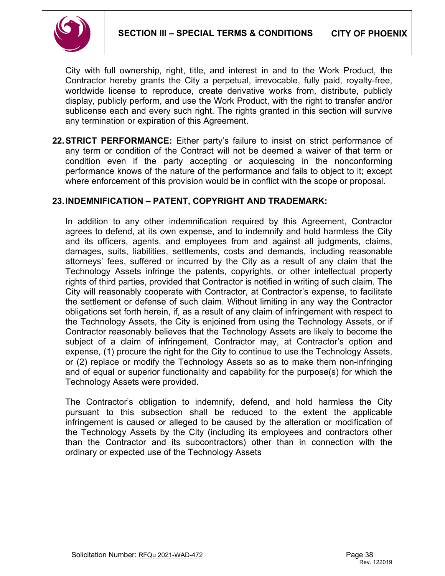

City with full ownership, right, title, and interest in and to the Work Product, the Contractor hereby grants the City a perpetual, irrevocable, fully paid, royalty-free, worldwide license to reproduce, create derivative works from, distribute, publicly display, publicly perform, and use the Work Product, with the right to transfer and/or sublicense each and every such right. The rights granted in this section will survive any termination or expiration of this Agreement.

**22.STRICT PERFORMANCE:** Either party's failure to insist on strict performance of any term or condition of the Contract will not be deemed a waiver of that term or condition even if the party accepting or acquiescing in the nonconforming performance knows of the nature of the performance and fails to object to it; except where enforcement of this provision would be in conflict with the scope or proposal.

### **23.INDEMNIFICATION – PATENT, COPYRIGHT AND TRADEMARK:**

In addition to any other indemnification required by this Agreement, Contractor agrees to defend, at its own expense, and to indemnify and hold harmless the City and its officers, agents, and employees from and against all judgments, claims, damages, suits, liabilities, settlements, costs and demands, including reasonable attorneys' fees, suffered or incurred by the City as a result of any claim that the Technology Assets infringe the patents, copyrights, or other intellectual property rights of third parties, provided that Contractor is notified in writing of such claim. The City will reasonably cooperate with Contractor, at Contractor's expense, to facilitate the settlement or defense of such claim. Without limiting in any way the Contractor obligations set forth herein, if, as a result of any claim of infringement with respect to the Technology Assets, the City is enjoined from using the Technology Assets, or if Contractor reasonably believes that the Technology Assets are likely to become the subject of a claim of infringement, Contractor may, at Contractor's option and expense, (1) procure the right for the City to continue to use the Technology Assets, or (2) replace or modify the Technology Assets so as to make them non-infringing and of equal or superior functionality and capability for the purpose(s) for which the Technology Assets were provided.

The Contractor's obligation to indemnify, defend, and hold harmless the City pursuant to this subsection shall be reduced to the extent the applicable infringement is caused or alleged to be caused by the alteration or modification of the Technology Assets by the City (including its employees and contractors other than the Contractor and its subcontractors) other than in connection with the ordinary or expected use of the Technology Assets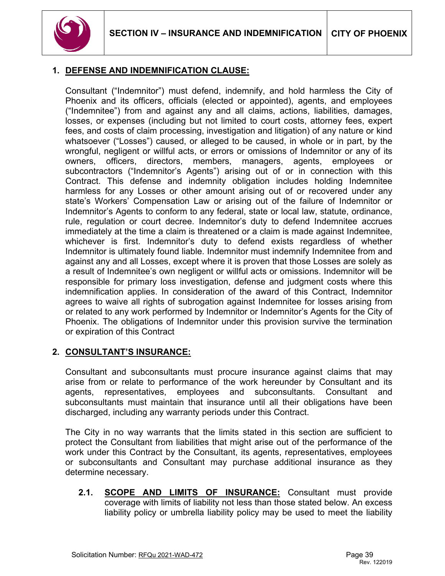

# **1. DEFENSE AND INDEMNIFICATION CLAUSE:**

Consultant ("Indemnitor") must defend, indemnify, and hold harmless the City of Phoenix and its officers, officials (elected or appointed), agents, and employees ("Indemnitee") from and against any and all claims, actions, liabilities, damages, losses, or expenses (including but not limited to court costs, attorney fees, expert fees, and costs of claim processing, investigation and litigation) of any nature or kind whatsoever ("Losses") caused, or alleged to be caused, in whole or in part, by the wrongful, negligent or willful acts, or errors or omissions of Indemnitor or any of its owners, officers, directors, members, managers, agents, employees or subcontractors ("Indemnitor's Agents") arising out of or in connection with this Contract. This defense and indemnity obligation includes holding Indemnitee harmless for any Losses or other amount arising out of or recovered under any state's Workers' Compensation Law or arising out of the failure of Indemnitor or Indemnitor's Agents to conform to any federal, state or local law, statute, ordinance, rule, regulation or court decree. Indemnitor's duty to defend Indemnitee accrues immediately at the time a claim is threatened or a claim is made against Indemnitee, whichever is first. Indemnitor's duty to defend exists regardless of whether Indemnitor is ultimately found liable. Indemnitor must indemnify Indemnitee from and against any and all Losses, except where it is proven that those Losses are solely as a result of Indemnitee's own negligent or willful acts or omissions. Indemnitor will be responsible for primary loss investigation, defense and judgment costs where this indemnification applies. In consideration of the award of this Contract, Indemnitor agrees to waive all rights of subrogation against Indemnitee for losses arising from or related to any work performed by Indemnitor or Indemnitor's Agents for the City of Phoenix. The obligations of Indemnitor under this provision survive the termination or expiration of this Contract

### **2. CONSULTANT'S INSURANCE:**

Consultant and subconsultants must procure insurance against claims that may arise from or relate to performance of the work hereunder by Consultant and its agents, representatives, employees and subconsultants. Consultant and subconsultants must maintain that insurance until all their obligations have been discharged, including any warranty periods under this Contract.

The City in no way warrants that the limits stated in this section are sufficient to protect the Consultant from liabilities that might arise out of the performance of the work under this Contract by the Consultant, its agents, representatives, employees or subconsultants and Consultant may purchase additional insurance as they determine necessary.

**2.1. SCOPE AND LIMITS OF INSURANCE:** Consultant must provide coverage with limits of liability not less than those stated below. An excess liability policy or umbrella liability policy may be used to meet the liability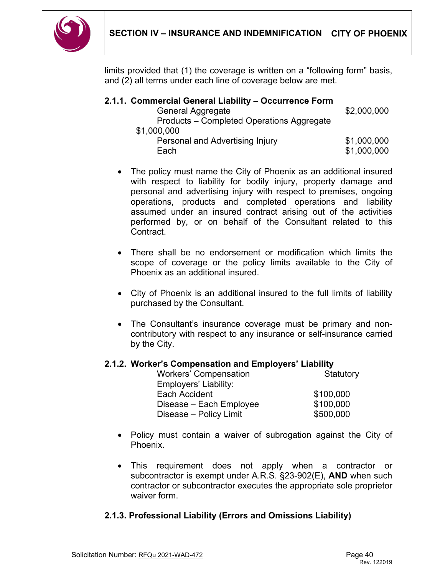

limits provided that (1) the coverage is written on a "following form" basis, and (2) all terms under each line of coverage below are met.

| 2.1.1. Commercial General Liability – Occurrence Form |             |
|-------------------------------------------------------|-------------|
| General Aggregate                                     | \$2,000,000 |
| Products – Completed Operations Aggregate             |             |
| \$1,000,000                                           |             |
| Personal and Advertising Injury                       | \$1,000,000 |
| Each                                                  | \$1,000,000 |

- The policy must name the City of Phoenix as an additional insured with respect to liability for bodily injury, property damage and personal and advertising injury with respect to premises, ongoing operations, products and completed operations and liability assumed under an insured contract arising out of the activities performed by, or on behalf of the Consultant related to this Contract.
- There shall be no endorsement or modification which limits the scope of coverage or the policy limits available to the City of Phoenix as an additional insured.
- City of Phoenix is an additional insured to the full limits of liability purchased by the Consultant.
- The Consultant's insurance coverage must be primary and noncontributory with respect to any insurance or self-insurance carried by the City.

### **2.1.2. Worker's Compensation and Employers' Liability**

| <b>Workers' Compensation</b> | Statutory |
|------------------------------|-----------|
| Employers' Liability:        |           |
| Each Accident                | \$100,000 |
| Disease - Each Employee      | \$100,000 |
| Disease - Policy Limit       | \$500,000 |

- Policy must contain a waiver of subrogation against the City of Phoenix.
- This requirement does not apply when a contractor or subcontractor is exempt under A.R.S. §23-902(E), **AND** when such contractor or subcontractor executes the appropriate sole proprietor waiver form.

# **2.1.3. Professional Liability (Errors and Omissions Liability)**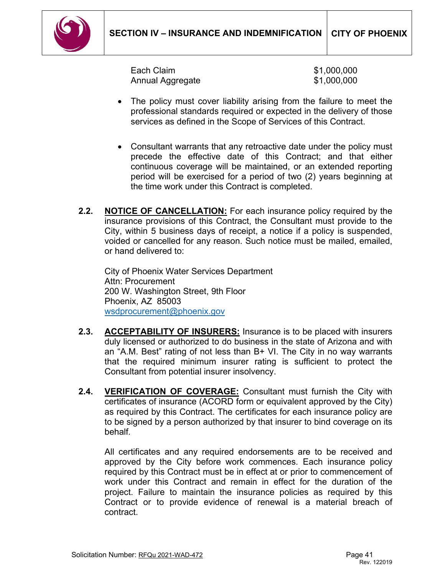

Each Claim **61,000,000** Annual Aggregate  $$1,000,000$ 

- The policy must cover liability arising from the failure to meet the professional standards required or expected in the delivery of those services as defined in the Scope of Services of this Contract.
- Consultant warrants that any retroactive date under the policy must precede the effective date of this Contract; and that either continuous coverage will be maintained, or an extended reporting period will be exercised for a period of two (2) years beginning at the time work under this Contract is completed.
- **2.2. NOTICE OF CANCELLATION:** For each insurance policy required by the insurance provisions of this Contract, the Consultant must provide to the City, within 5 business days of receipt, a notice if a policy is suspended, voided or cancelled for any reason. Such notice must be mailed, emailed, or hand delivered to:

City of Phoenix Water Services Department Attn: Procurement 200 W. Washington Street, 9th Floor Phoenix, AZ 85003 [wsdprocurement@phoenix.gov](mailto:wsdprocurement@phoenix.gov)

- **2.3. ACCEPTABILITY OF INSURERS:** Insurance is to be placed with insurers duly licensed or authorized to do business in the state of Arizona and with an "A.M. Best" rating of not less than B+ VI. The City in no way warrants that the required minimum insurer rating is sufficient to protect the Consultant from potential insurer insolvency.
- **2.4. VERIFICATION OF COVERAGE:** Consultant must furnish the City with certificates of insurance (ACORD form or equivalent approved by the City) as required by this Contract. The certificates for each insurance policy are to be signed by a person authorized by that insurer to bind coverage on its behalf*.*

All certificates and any required endorsements are to be received and approved by the City before work commences. Each insurance policy required by this Contract must be in effect at or prior to commencement of work under this Contract and remain in effect for the duration of the project. Failure to maintain the insurance policies as required by this Contract or to provide evidence of renewal is a material breach of contract.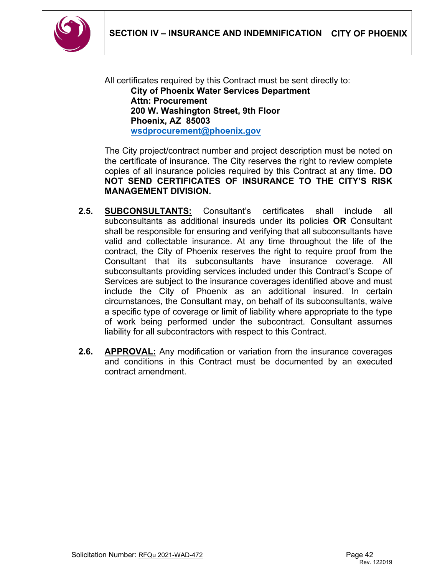

All certificates required by this Contract must be sent directly to: **City of Phoenix Water Services Department Attn: Procurement 200 W. Washington Street, 9th Floor Phoenix, AZ 85003 [wsdprocurement@phoenix.gov](mailto:wsdprocurement@phoenix.gov)**

The City project/contract number and project description must be noted on the certificate of insurance. The City reserves the right to review complete copies of all insurance policies required by this Contract at any time**. DO NOT SEND CERTIFICATES OF INSURANCE TO THE CITY'S RISK MANAGEMENT DIVISION.**

- **2.5. SUBCONSULTANTS:** Consultant's certificates shall include all subconsultants as additional insureds under its policies **OR** Consultant shall be responsible for ensuring and verifying that all subconsultants have valid and collectable insurance. At any time throughout the life of the contract, the City of Phoenix reserves the right to require proof from the Consultant that its subconsultants have insurance coverage. All subconsultants providing services included under this Contract's Scope of Services are subject to the insurance coverages identified above and must include the City of Phoenix as an additional insured. In certain circumstances, the Consultant may, on behalf of its subconsultants, waive a specific type of coverage or limit of liability where appropriate to the type of work being performed under the subcontract. Consultant assumes liability for all subcontractors with respect to this Contract.
- **2.6. APPROVAL:** Any modification or variation from the insurance coverages and conditions in this Contract must be documented by an executed contract amendment.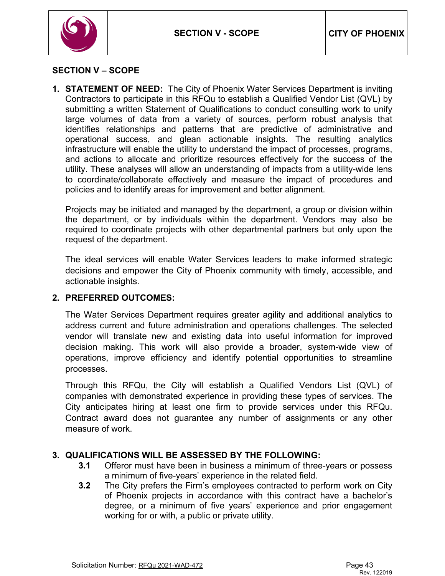

### <span id="page-42-0"></span>**SECTION V – SCOPE**

**1. STATEMENT OF NEED:** The City of Phoenix Water Services Department is inviting Contractors to participate in this RFQu to establish a Qualified Vendor List (QVL) by submitting a written Statement of Qualifications to conduct consulting work to unify large volumes of data from a variety of sources, perform robust analysis that identifies relationships and patterns that are predictive of administrative and operational success, and glean actionable insights. The resulting analytics infrastructure will enable the utility to understand the impact of processes, programs, and actions to allocate and prioritize resources effectively for the success of the utility. These analyses will allow an understanding of impacts from a utility-wide lens to coordinate/collaborate effectively and measure the impact of procedures and policies and to identify areas for improvement and better alignment.

Projects may be initiated and managed by the department, a group or division within the department, or by individuals within the department. Vendors may also be required to coordinate projects with other departmental partners but only upon the request of the department.

The ideal services will enable Water Services leaders to make informed strategic decisions and empower the City of Phoenix community with timely, accessible, and actionable insights.

### **2. PREFERRED OUTCOMES:**

The Water Services Department requires greater agility and additional analytics to address current and future administration and operations challenges. The selected vendor will translate new and existing data into useful information for improved decision making. This work will also provide a broader, system-wide view of operations, improve efficiency and identify potential opportunities to streamline processes.

Through this RFQu, the City will establish a Qualified Vendors List (QVL) of companies with demonstrated experience in providing these types of services. The City anticipates hiring at least one firm to provide services under this RFQu. Contract award does not guarantee any number of assignments or any other measure of work.

### **3. QUALIFICATIONS WILL BE ASSESSED BY THE FOLLOWING:**

- **3.1** Offeror must have been in business a minimum of three-years or possess a minimum of five-years' experience in the related field.
- **3.2** The City prefers the Firm's employees contracted to perform work on City of Phoenix projects in accordance with this contract have a bachelor's degree, or a minimum of five years' experience and prior engagement working for or with, a public or private utility.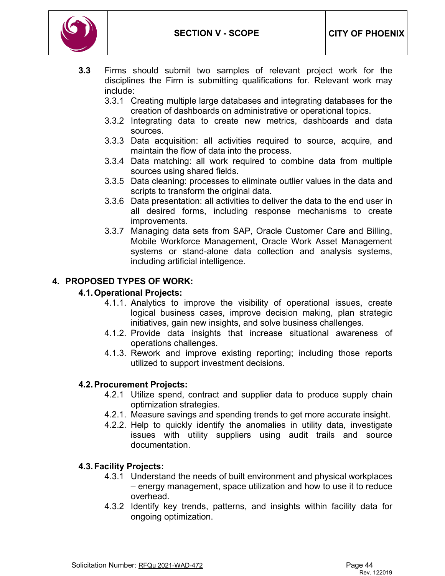

- **3.3** Firms should submit two samples of relevant project work for the disciplines the Firm is submitting qualifications for. Relevant work may include:
	- 3.3.1 Creating multiple large databases and integrating databases for the creation of dashboards on administrative or operational topics.
	- 3.3.2 Integrating data to create new metrics, dashboards and data sources.
	- 3.3.3 Data acquisition: all activities required to source, acquire, and maintain the flow of data into the process.
	- 3.3.4 Data matching: all work required to combine data from multiple sources using shared fields.
	- 3.3.5 Data cleaning: processes to eliminate outlier values in the data and scripts to transform the original data.
	- 3.3.6 Data presentation: all activities to deliver the data to the end user in all desired forms, including response mechanisms to create improvements.
	- 3.3.7 Managing data sets from SAP, Oracle Customer Care and Billing, Mobile Workforce Management, Oracle Work Asset Management systems or stand-alone data collection and analysis systems, including artificial intelligence.

# **4. PROPOSED TYPES OF WORK:**

# **4.1.Operational Projects:**

- 4.1.1. Analytics to improve the visibility of operational issues, create logical business cases, improve decision making, plan strategic initiatives, gain new insights, and solve business challenges.
- 4.1.2. Provide data insights that increase situational awareness of operations challenges.
- 4.1.3. Rework and improve existing reporting; including those reports utilized to support investment decisions.

### **4.2.Procurement Projects:**

- 4.2.1 Utilize spend, contract and supplier data to produce supply chain optimization strategies.
- 4.2.1. Measure savings and spending trends to get more accurate insight.
- 4.2.2. Help to quickly identify the anomalies in utility data, investigate issues with utility suppliers using audit trails and source documentation.

# **4.3.Facility Projects:**

- 4.3.1 Understand the needs of built environment and physical workplaces – energy management, space utilization and how to use it to reduce overhead.
- 4.3.2 Identify key trends, patterns, and insights within facility data for ongoing optimization.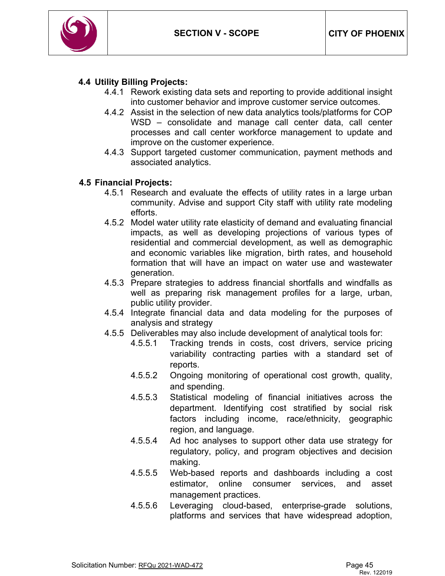

### **4.4 Utility Billing Projects:**

- 4.4.1 Rework existing data sets and reporting to provide additional insight into customer behavior and improve customer service outcomes.
- 4.4.2 Assist in the selection of new data analytics tools/platforms for COP WSD – consolidate and manage call center data, call center processes and call center workforce management to update and improve on the customer experience.
- 4.4.3 Support targeted customer communication, payment methods and associated analytics.

#### **4.5 Financial Projects:**

- 4.5.1 Research and evaluate the effects of utility rates in a large urban community. Advise and support City staff with utility rate modeling efforts.
- 4.5.2 Model water utility rate elasticity of demand and evaluating financial impacts, as well as developing projections of various types of residential and commercial development, as well as demographic and economic variables like migration, birth rates, and household formation that will have an impact on water use and wastewater generation.
- 4.5.3 Prepare strategies to address financial shortfalls and windfalls as well as preparing risk management profiles for a large, urban, public utility provider.
- 4.5.4 Integrate financial data and data modeling for the purposes of analysis and strategy
- 4.5.5 Deliverables may also include development of analytical tools for:
	- 4.5.5.1 Tracking trends in costs, cost drivers, service pricing variability contracting parties with a standard set of reports.
	- 4.5.5.2 Ongoing monitoring of operational cost growth, quality, and spending.
	- 4.5.5.3 Statistical modeling of financial initiatives across the department. Identifying cost stratified by social risk factors including income, race/ethnicity, geographic region, and language.
	- 4.5.5.4 Ad hoc analyses to support other data use strategy for regulatory, policy, and program objectives and decision making.
	- 4.5.5.5 Web-based reports and dashboards including a cost estimator, online consumer services, and asset management practices.
	- 4.5.5.6 Leveraging cloud-based, enterprise-grade solutions, platforms and services that have widespread adoption,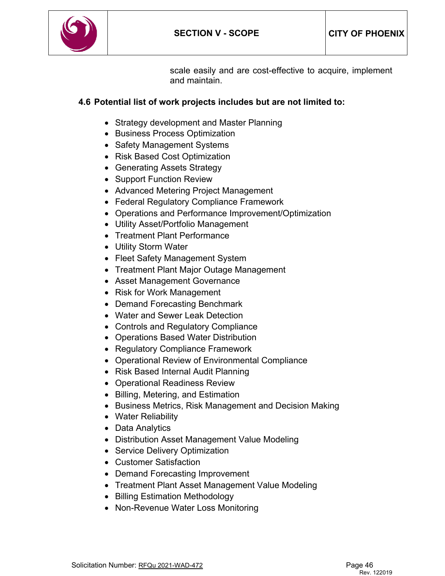

scale easily and are cost-effective to acquire, implement and maintain.

# **4.6 Potential list of work projects includes but are not limited to:**

- Strategy development and Master Planning
- Business Process Optimization
- Safety Management Systems
- Risk Based Cost Optimization
- Generating Assets Strategy
- Support Function Review
- Advanced Metering Project Management
- Federal Regulatory Compliance Framework
- Operations and Performance Improvement/Optimization
- Utility Asset/Portfolio Management
- Treatment Plant Performance
- Utility Storm Water
- Fleet Safety Management System
- Treatment Plant Major Outage Management
- Asset Management Governance
- Risk for Work Management
- Demand Forecasting Benchmark
- Water and Sewer Leak Detection
- Controls and Regulatory Compliance
- Operations Based Water Distribution
- Regulatory Compliance Framework
- Operational Review of Environmental Compliance
- Risk Based Internal Audit Planning
- Operational Readiness Review
- Billing, Metering, and Estimation
- Business Metrics, Risk Management and Decision Making
- Water Reliability
- Data Analytics
- Distribution Asset Management Value Modeling
- Service Delivery Optimization
- Customer Satisfaction
- Demand Forecasting Improvement
- Treatment Plant Asset Management Value Modeling
- Billing Estimation Methodology
- Non-Revenue Water Loss Monitoring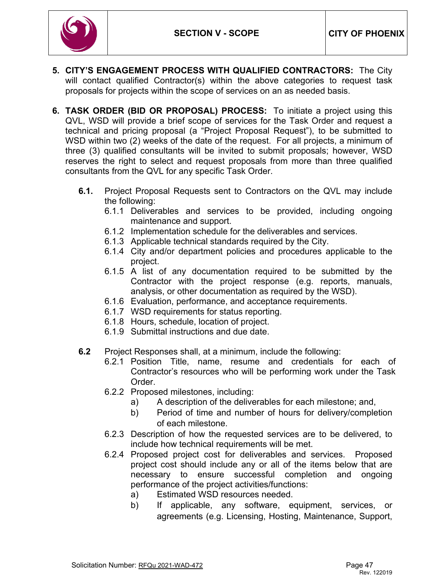

- **5. CITY'S ENGAGEMENT PROCESS WITH QUALIFIED CONTRACTORS:** The City will contact qualified Contractor(s) within the above categories to request task proposals for projects within the scope of services on an as needed basis.
- **6. TASK ORDER (BID OR PROPOSAL) PROCESS:** To initiate a project using this QVL, WSD will provide a brief scope of services for the Task Order and request a technical and pricing proposal (a "Project Proposal Request"), to be submitted to WSD within two (2) weeks of the date of the request. For all projects, a minimum of three (3) qualified consultants will be invited to submit proposals; however, WSD reserves the right to select and request proposals from more than three qualified consultants from the QVL for any specific Task Order.
	- **6.1.** Project Proposal Requests sent to Contractors on the QVL may include the following:
		- 6.1.1 Deliverables and services to be provided, including ongoing maintenance and support.
		- 6.1.2 Implementation schedule for the deliverables and services.
		- 6.1.3 Applicable technical standards required by the City.
		- 6.1.4 City and/or department policies and procedures applicable to the project.
		- 6.1.5 A list of any documentation required to be submitted by the Contractor with the project response (e.g. reports, manuals, analysis, or other documentation as required by the WSD).
		- 6.1.6 Evaluation, performance, and acceptance requirements.
		- 6.1.7 WSD requirements for status reporting.
		- 6.1.8 Hours, schedule, location of project.
		- 6.1.9 Submittal instructions and due date.
	- **6.2** Project Responses shall, at a minimum, include the following:
		- 6.2.1 Position Title, name, resume and credentials for each of Contractor's resources who will be performing work under the Task Order.
		- 6.2.2 Proposed milestones, including:
			- a) A description of the deliverables for each milestone; and,
			- b) Period of time and number of hours for delivery/completion of each milestone.
		- 6.2.3 Description of how the requested services are to be delivered, to include how technical requirements will be met.
		- 6.2.4 Proposed project cost for deliverables and services. Proposed project cost should include any or all of the items below that are necessary to ensure successful completion and ongoing performance of the project activities/functions:
			- a) Estimated WSD resources needed.
			- b) If applicable, any software, equipment, services, or agreements (e.g. Licensing, Hosting, Maintenance, Support,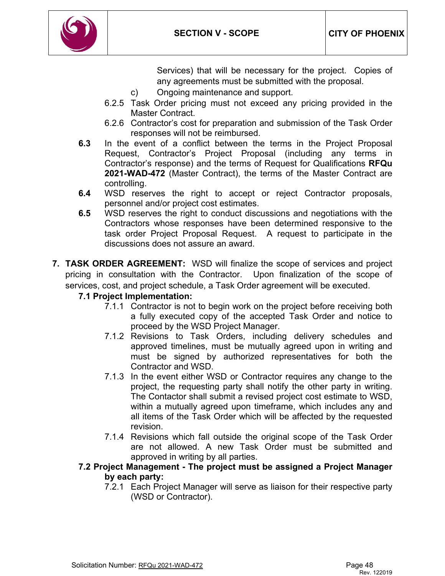

Services) that will be necessary for the project. Copies of any agreements must be submitted with the proposal.

- c) Ongoing maintenance and support.
- 6.2.5 Task Order pricing must not exceed any pricing provided in the Master Contract.
- 6.2.6 Contractor's cost for preparation and submission of the Task Order responses will not be reimbursed.
- **6.3** In the event of a conflict between the terms in the Project Proposal Request, Contractor's Project Proposal (including any terms in Contractor's response) and the terms of Request for Qualifications **RFQu 2021-WAD-472** (Master Contract), the terms of the Master Contract are controlling.
- **6.4** WSD reserves the right to accept or reject Contractor proposals, personnel and/or project cost estimates.
- **6.5** WSD reserves the right to conduct discussions and negotiations with the Contractors whose responses have been determined responsive to the task order Project Proposal Request. A request to participate in the discussions does not assure an award.
- **7. TASK ORDER AGREEMENT:** WSD will finalize the scope of services and project pricing in consultation with the Contractor. Upon finalization of the scope of services, cost, and project schedule, a Task Order agreement will be executed.

# **7.1 Project Implementation:**

- 7.1.1 Contractor is not to begin work on the project before receiving both a fully executed copy of the accepted Task Order and notice to proceed by the WSD Project Manager.
- 7.1.2 Revisions to Task Orders, including delivery schedules and approved timelines, must be mutually agreed upon in writing and must be signed by authorized representatives for both the Contractor and WSD.
- 7.1.3 In the event either WSD or Contractor requires any change to the project, the requesting party shall notify the other party in writing. The Contactor shall submit a revised project cost estimate to WSD, within a mutually agreed upon timeframe, which includes any and all items of the Task Order which will be affected by the requested revision.
- 7.1.4 Revisions which fall outside the original scope of the Task Order are not allowed. A new Task Order must be submitted and approved in writing by all parties.

### **7.2 Project Management - The project must be assigned a Project Manager by each party:**

7.2.1 Each Project Manager will serve as liaison for their respective party (WSD or Contractor).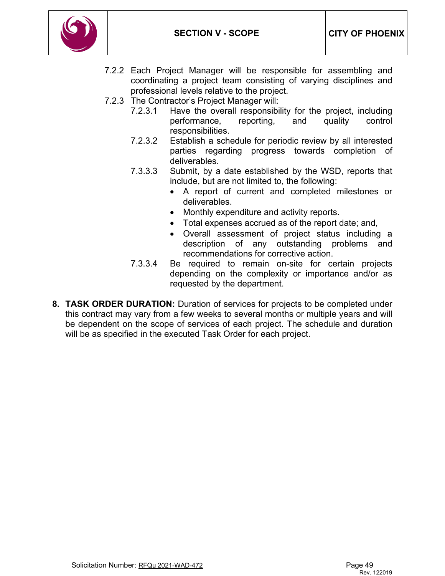

- 7.2.2 Each Project Manager will be responsible for assembling and coordinating a project team consisting of varying disciplines and professional levels relative to the project.
- 7.2.3 The Contractor's Project Manager will:
	- 7.2.3.1 Have the overall responsibility for the project, including performance, reporting, and quality control responsibilities.
	- 7.2.3.2 Establish a schedule for periodic review by all interested parties regarding progress towards completion of deliverables.
	- 7.3.3.3 Submit, by a date established by the WSD, reports that include, but are not limited to, the following:
		- A report of current and completed milestones or deliverables.
		- Monthly expenditure and activity reports.
		- Total expenses accrued as of the report date; and,
		- Overall assessment of project status including a description of any outstanding problems and recommendations for corrective action.
	- 7.3.3.4 Be required to remain on-site for certain projects depending on the complexity or importance and/or as requested by the department.
- **8. TASK ORDER DURATION:** Duration of services for projects to be completed under this contract may vary from a few weeks to several months or multiple years and will be dependent on the scope of services of each project. The schedule and duration will be as specified in the executed Task Order for each project.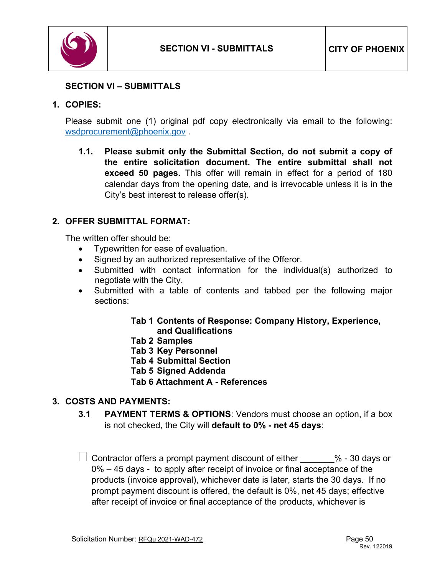

# <span id="page-49-0"></span>**SECTION VI – SUBMITTALS**

### **1. COPIES:**

Please submit one (1) original pdf copy electronically via email to the following: [wsdprocurement@phoenix.gov](mailto:wsdprocurement@phoenix.gov) .

**1.1. Please submit only the Submittal Section, do not submit a copy of the entire solicitation document. The entire submittal shall not exceed 50 pages.** This offer will remain in effect for a period of 180 calendar days from the opening date, and is irrevocable unless it is in the City's best interest to release offer(s).

# **2. OFFER SUBMITTAL FORMAT:**

The written offer should be:

- Typewritten for ease of evaluation.
- Signed by an authorized representative of the Offeror.
- Submitted with contact information for the individual(s) authorized to negotiate with the City.
- Submitted with a table of contents and tabbed per the following major sections:

### **Tab 1 Contents of Response: Company History, Experience, and Qualifications**

- **Tab 2 Samples**
- **Tab 3 Key Personnel**
- **Tab 4 Submittal Section**
- **Tab 5 Signed Addenda**
- **Tab 6 Attachment A - References**

# **3. COSTS AND PAYMENTS:**

**3.1 PAYMENT TERMS & OPTIONS**: Vendors must choose an option, if a box is not checked, the City will **default to 0% - net 45 days**:

 $\Box$  Contractor offers a prompt payment discount of either  $\qquad \qquad \%$  - 30 days or 0% – 45 days - to apply after receipt of invoice or final acceptance of the products (invoice approval), whichever date is later, starts the 30 days. If no prompt payment discount is offered, the default is 0%, net 45 days; effective after receipt of invoice or final acceptance of the products, whichever is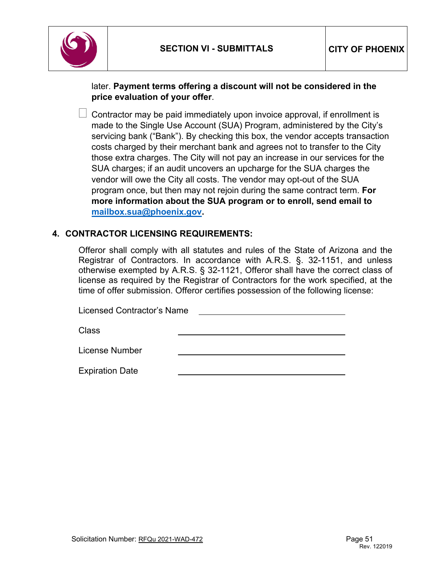

# later. **Payment terms offering a discount will not be considered in the price evaluation of your offer**.

 $\Box$  Contractor may be paid immediately upon invoice approval, if enrollment is made to the Single Use Account (SUA) Program, administered by the City's servicing bank ("Bank"). By checking this box, the vendor accepts transaction costs charged by their merchant bank and agrees not to transfer to the City those extra charges. The City will not pay an increase in our services for the SUA charges; if an audit uncovers an upcharge for the SUA charges the vendor will owe the City all costs. The vendor may opt-out of the SUA program once, but then may not rejoin during the same contract term. **For more information about the SUA program or to enroll, send email to [mailbox.sua@phoenix.gov.](mailto:mailbox.sua@phoenix.gov)**

### **4. CONTRACTOR LICENSING REQUIREMENTS:**

Offeror shall comply with all statutes and rules of the State of Arizona and the Registrar of Contractors. In accordance with A.R.S. §. 32-1151, and unless otherwise exempted by A.R.S. § 32-1121, Offeror shall have the correct class of license as required by the Registrar of Contractors for the work specified, at the time of offer submission. Offeror certifies possession of the following license:

Licensed Contractor's Name

Class

License Number

Expiration Date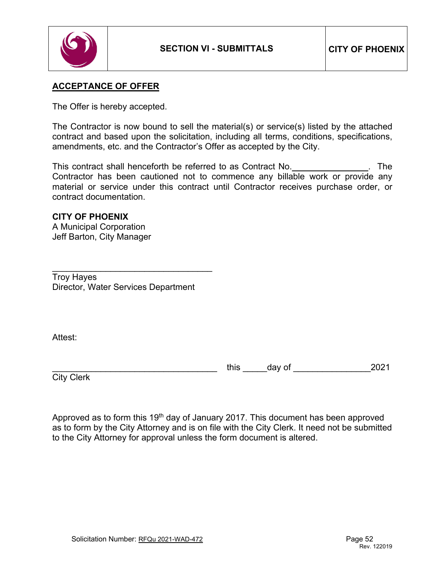

# **ACCEPTANCE OF OFFER**

The Offer is hereby accepted.

The Contractor is now bound to sell the material(s) or service(s) listed by the attached contract and based upon the solicitation, including all terms, conditions, specifications, amendments, etc. and the Contractor's Offer as accepted by the City.

This contract shall henceforth be referred to as Contract No. . The Contractor has been cautioned not to commence any billable work or provide any material or service under this contract until Contractor receives purchase order, or contract documentation.

# **CITY OF PHOENIX**

A Municipal Corporation Jeff Barton, City Manager

\_\_\_\_\_\_\_\_\_\_\_\_\_\_\_\_\_\_\_\_\_\_\_\_\_\_\_\_\_\_\_\_\_ Troy Hayes Director, Water Services Department

Attest:

this day of  $\sim$  2021

**City Clerk** 

Approved as to form this 19<sup>th</sup> day of January 2017. This document has been approved as to form by the City Attorney and is on file with the City Clerk. It need not be submitted to the City Attorney for approval unless the form document is altered.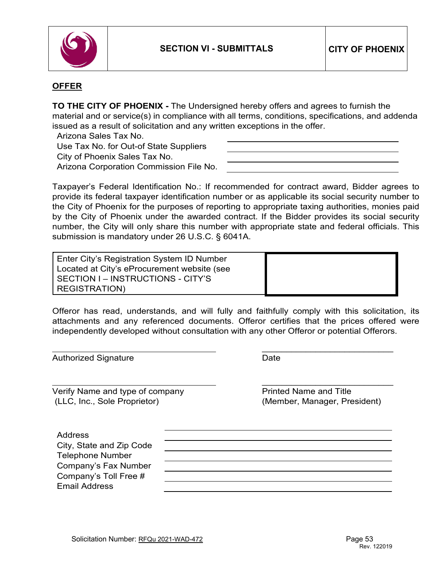

### **OFFER**

**TO THE CITY OF PHOENIX -** The Undersigned hereby offers and agrees to furnish the material and or service(s) in compliance with all terms, conditions, specifications, and addenda issued as a result of solicitation and any written exceptions in the offer.

Arizona Sales Tax No.

Use Tax No. for Out-of State Suppliers

City of Phoenix Sales Tax No.

Arizona Corporation Commission File No.

Taxpayer's Federal Identification No.: If recommended for contract award, Bidder agrees to provide its federal taxpayer identification number or as applicable its social security number to the City of Phoenix for the purposes of reporting to appropriate taxing authorities, monies paid by the City of Phoenix under the awarded contract. If the Bidder provides its social security number, the City will only share this number with appropriate state and federal officials. This submission is mandatory under 26 U.S.C. § 6041A.

Enter City's Registration System ID Number Located at City's eProcurement website (see SECTION I – INSTRUCTIONS - CITY'S REGISTRATION)

Offeror has read, understands, and will fully and faithfully comply with this solicitation, its attachments and any referenced documents. Offeror certifies that the prices offered were independently developed without consultation with any other Offeror or potential Offerors.

Authorized Signature **Date** Date

Verify Name and type of company entitled Name and Title (LLC, Inc., Sole Proprietor) (Member, Manager, President)

 $\frac{1}{2}$  , and the set of the set of the set of the set of the set of the set of the set of the set of the set of the set of the set of the set of the set of the set of the set of the set of the set of the set of the set

 $\frac{1}{2}$  , and the set of the set of the set of the set of the set of the set of the set of the set of the set of the set of the set of the set of the set of the set of the set of the set of the set of the set of the set

| Address                  |  |
|--------------------------|--|
| City, State and Zip Code |  |
| <b>Telephone Number</b>  |  |
| Company's Fax Number     |  |
| Company's Toll Free #    |  |
| <b>Email Address</b>     |  |
|                          |  |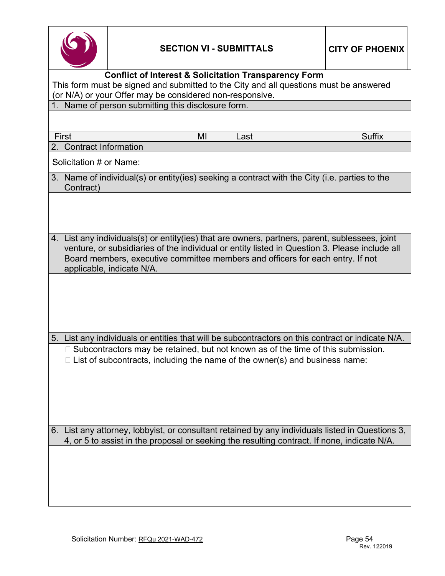

| <b>Conflict of Interest &amp; Solicitation Transparency Form</b><br>This form must be signed and submitted to the City and all questions must be answered |                                                                                                                                                                                                                                                                                                                |  |  |  |  |  |
|-----------------------------------------------------------------------------------------------------------------------------------------------------------|----------------------------------------------------------------------------------------------------------------------------------------------------------------------------------------------------------------------------------------------------------------------------------------------------------------|--|--|--|--|--|
| 1.                                                                                                                                                        | (or N/A) or your Offer may be considered non-responsive.<br>Name of person submitting this disclosure form.                                                                                                                                                                                                    |  |  |  |  |  |
|                                                                                                                                                           |                                                                                                                                                                                                                                                                                                                |  |  |  |  |  |
|                                                                                                                                                           | First<br><b>Suffix</b><br>MI<br>Last                                                                                                                                                                                                                                                                           |  |  |  |  |  |
| 2.                                                                                                                                                        | <b>Contract Information</b>                                                                                                                                                                                                                                                                                    |  |  |  |  |  |
|                                                                                                                                                           | Solicitation # or Name:                                                                                                                                                                                                                                                                                        |  |  |  |  |  |
|                                                                                                                                                           | 3. Name of individual(s) or entity(ies) seeking a contract with the City (i.e. parties to the<br>Contract)                                                                                                                                                                                                     |  |  |  |  |  |
|                                                                                                                                                           |                                                                                                                                                                                                                                                                                                                |  |  |  |  |  |
|                                                                                                                                                           | 4. List any individuals(s) or entity(ies) that are owners, partners, parent, sublessees, joint<br>venture, or subsidiaries of the individual or entity listed in Question 3. Please include all<br>Board members, executive committee members and officers for each entry. If not<br>applicable, indicate N/A. |  |  |  |  |  |
|                                                                                                                                                           |                                                                                                                                                                                                                                                                                                                |  |  |  |  |  |
| 5.                                                                                                                                                        | List any individuals or entities that will be subcontractors on this contract or indicate N/A.                                                                                                                                                                                                                 |  |  |  |  |  |
|                                                                                                                                                           | $\Box$ Subcontractors may be retained, but not known as of the time of this submission.<br>$\Box$ List of subcontracts, including the name of the owner(s) and business name:                                                                                                                                  |  |  |  |  |  |
|                                                                                                                                                           | 6. List any attorney, lobbyist, or consultant retained by any individuals listed in Questions 3,<br>4, or 5 to assist in the proposal or seeking the resulting contract. If none, indicate N/A.                                                                                                                |  |  |  |  |  |
|                                                                                                                                                           |                                                                                                                                                                                                                                                                                                                |  |  |  |  |  |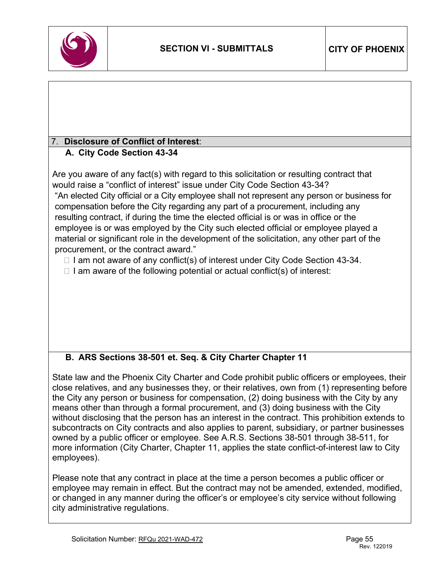

# 7. **Disclosure of Conflict of Interest**:

# **A. City Code Section 43-34**

Are you aware of any fact(s) with regard to this solicitation or resulting contract that would raise a "conflict of interest" issue under City Code Section 43-34? "An elected City official or a City employee shall not represent any person or business for compensation before the City regarding any part of a procurement, including any resulting contract, if during the time the elected official is or was in office or the employee is or was employed by the City such elected official or employee played a material or significant role in the development of the solicitation, any other part of the procurement, or the contract award."

 $\Box$  I am not aware of any conflict(s) of interest under City Code Section 43-34.

 $\Box$  I am aware of the following potential or actual conflict(s) of interest:

# **B. ARS Sections 38-501 et. Seq. & City Charter Chapter 11**

State law and the Phoenix City Charter and Code prohibit public officers or employees, their close relatives, and any businesses they, or their relatives, own from (1) representing before the City any person or business for compensation, (2) doing business with the City by any means other than through a formal procurement, and (3) doing business with the City without disclosing that the person has an interest in the contract. This prohibition extends to subcontracts on City contracts and also applies to parent, subsidiary, or partner businesses owned by a public officer or employee. See A.R.S. Sections 38-501 through 38-511, for more information (City Charter, Chapter 11, applies the state conflict-of-interest law to City employees).

Please note that any contract in place at the time a person becomes a public officer or employee may remain in effect. But the contract may not be amended, extended, modified, or changed in any manner during the officer's or employee's city service without following city administrative regulations.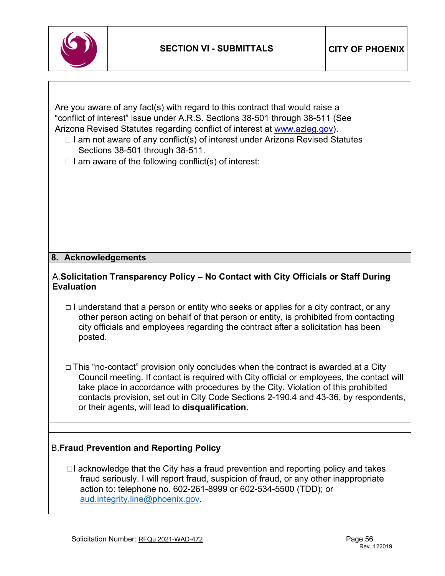

Are you aware of any fact(s) with regard to this contract that would raise a "conflict of interest" issue under A.R.S. Sections 38-501 through 38-511 (See Arizona Revised Statutes regarding conflict of interest at [www.azleg.gov\)](http://www.azleg.gov/).

- $\Box$  I am not aware of any conflict(s) of interest under Arizona Revised Statutes Sections 38-501 through 38-511.
- $\Box$  I am aware of the following conflict(s) of interest:

### **8. Acknowledgements**

### A.**Solicitation Transparency Policy – No Contact with City Officials or Staff During Evaluation**

- $\Box$  I understand that a person or entity who seeks or applies for a city contract, or any other person acting on behalf of that person or entity, is prohibited from contacting city officials and employees regarding the contract after a solicitation has been posted.
- This "no-contact" provision only concludes when the contract is awarded at a City Council meeting. If contact is required with City official or employees, the contact will take place in accordance with procedures by the City. Violation of this prohibited contacts provision, set out in City Code Sections 2-190.4 and 43-36, by respondents, or their agents, will lead to **disqualification.**

# B.**Fraud Prevention and Reporting Policy**

 $\Box$ I acknowledge that the City has a fraud prevention and reporting policy and takes fraud seriously. I will report fraud, suspicion of fraud, or any other inappropriate action to: telephone no. 602-261-8999 or 602-534-5500 (TDD); or [aud.integrity.line@phoenix.gov.](mailto:aud.integrity.line@phoenix.gov)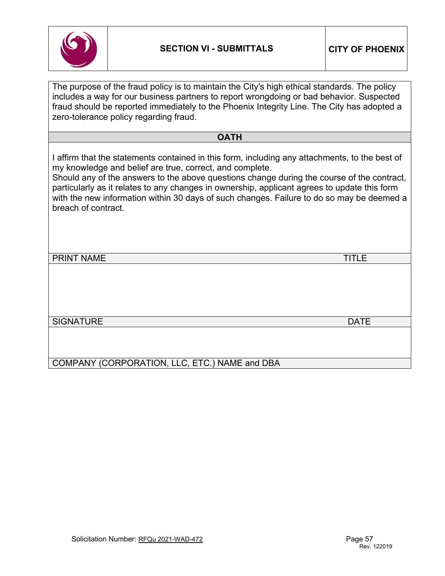

| The purpose of the fraud policy is to maintain the City's high ethical standards. The policy<br>includes a way for our business partners to report wrongdoing or bad behavior. Suspected<br>fraud should be reported immediately to the Phoenix Integrity Line. The City has adopted a<br>zero-tolerance policy regarding fraud.                                                                                                                                             |              |
|------------------------------------------------------------------------------------------------------------------------------------------------------------------------------------------------------------------------------------------------------------------------------------------------------------------------------------------------------------------------------------------------------------------------------------------------------------------------------|--------------|
| <b>OATH</b>                                                                                                                                                                                                                                                                                                                                                                                                                                                                  |              |
| I affirm that the statements contained in this form, including any attachments, to the best of<br>my knowledge and belief are true, correct, and complete.<br>Should any of the answers to the above questions change during the course of the contract,<br>particularly as it relates to any changes in ownership, applicant agrees to update this form<br>with the new information within 30 days of such changes. Failure to do so may be deemed a<br>breach of contract. |              |
| <b>PRINT NAME</b>                                                                                                                                                                                                                                                                                                                                                                                                                                                            | <b>TITLE</b> |
|                                                                                                                                                                                                                                                                                                                                                                                                                                                                              |              |
| <b>SIGNATURE</b>                                                                                                                                                                                                                                                                                                                                                                                                                                                             | <b>DATE</b>  |
| COMPANY (CORPORATION, LLC, ETC.) NAME and DBA                                                                                                                                                                                                                                                                                                                                                                                                                                |              |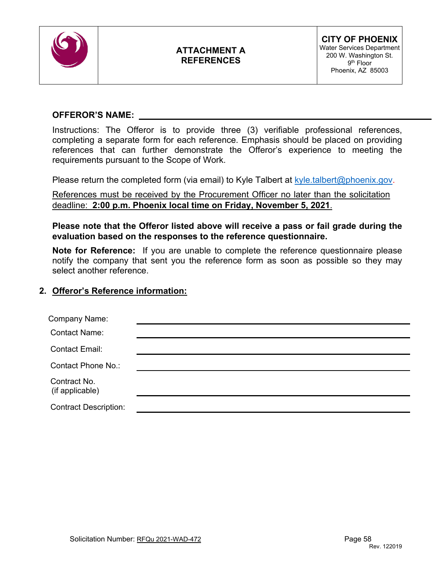

# **ATTACHMENT A REFERENCES**

### **OFFEROR'S NAME:**

Instructions: The Offeror is to provide three (3) verifiable professional references, completing a separate form for each reference. Emphasis should be placed on providing references that can further demonstrate the Offeror's experience to meeting the requirements pursuant to the Scope of Work.

Please return the completed form (via email) to Kyle Talbert at [kyle.talbert@phoenix.gov.](mailto:kyle.talbert@phoenix.gov)

References must be received by the Procurement Officer no later than the solicitation deadline: **2:00 p.m. Phoenix local time on Friday, November 5, 2021**.

**Please note that the Offeror listed above will receive a pass or fail grade during the evaluation based on the responses to the reference questionnaire.**

**Note for Reference:** If you are unable to complete the reference questionnaire please notify the company that sent you the reference form as soon as possible so they may select another reference.

### **2. Offeror's Reference information:**

| Company Name:                   |  |
|---------------------------------|--|
| <b>Contact Name:</b>            |  |
| <b>Contact Email:</b>           |  |
| Contact Phone No.:              |  |
| Contract No.<br>(if applicable) |  |
| <b>Contract Description:</b>    |  |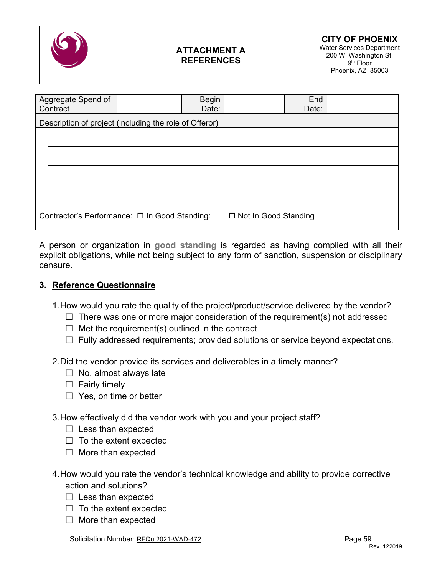

# **ATTACHMENT A REFERENCES**

| Aggregate Spend of                                     | <b>Begin</b> |                        | End   |  |
|--------------------------------------------------------|--------------|------------------------|-------|--|
| Contract                                               | Date:        |                        | Date: |  |
| Description of project (including the role of Offeror) |              |                        |       |  |
|                                                        |              |                        |       |  |
|                                                        |              |                        |       |  |
|                                                        |              |                        |       |  |
|                                                        |              |                        |       |  |
|                                                        |              |                        |       |  |
|                                                        |              |                        |       |  |
|                                                        |              |                        |       |  |
|                                                        |              |                        |       |  |
| Contractor's Performance: □ In Good Standing:          |              | □ Not In Good Standing |       |  |
|                                                        |              |                        |       |  |

A person or organization in **good standing** is regarded as having complied with all their explicit obligations, while not being subject to any form of sanction, suspension or disciplinary censure.

# **3. Reference Questionnaire**

1.How would you rate the quality of the project/product/service delivered by the vendor?

- $\Box$  There was one or more major consideration of the requirement(s) not addressed
- $\Box$  Met the requirement(s) outlined in the contract
- $\Box$  Fully addressed requirements; provided solutions or service beyond expectations.

2.Did the vendor provide its services and deliverables in a timely manner?

- $\Box$  No, almost always late
- $\Box$  Fairly timely
- $\Box$  Yes, on time or better
- 3.How effectively did the vendor work with you and your project staff?
	- $\Box$  Less than expected
	- $\Box$  To the extent expected
	- $\Box$  More than expected
- 4.How would you rate the vendor's technical knowledge and ability to provide corrective action and solutions?
	- $\Box$  Less than expected
	- $\Box$  To the extent expected
	- $\Box$  More than expected